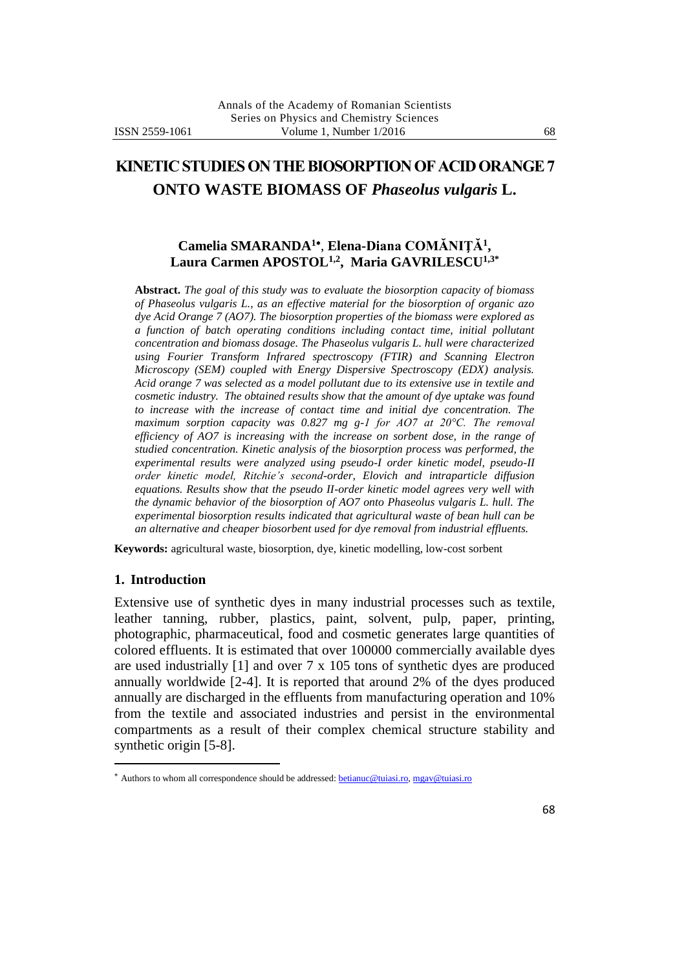# **KINETIC STUDIES ON THE BIOSORPTION OF ACID ORANGE 7**

# **ONTO WASTE BIOMASS OF** *Phaseolus vulgaris* **L.**

### **Camelia SMARANDA<sup>1</sup>** , **Elena-Diana COMĂNIŢĂ<sup>1</sup> , Laura Carmen APOSTOL1,2 , Maria GAVRILESCU1,3\***

**Abstract.** *The goal of this study was to evaluate the biosorption capacity of biomass of Phaseolus vulgaris L., as an effective material for the biosorption of organic azo dye Acid Orange 7 (AO7). The biosorption properties of the biomass were explored as a function of batch operating conditions including contact time, initial pollutant concentration and biomass dosage. The Phaseolus vulgaris L. hull were characterized*  using Fourier Transform Infrared spectroscopy (FTIR) and Scanning Electron *Microscopy (SEM) coupled with Energy Dispersive Spectroscopy (EDX) analysis. Acid orange 7 was selected as a model pollutant due to its extensive use in textile and cosmetic industry. The obtained results show that the amount of dye uptake was found to increase with the increase of contact time and initial dye concentration. The*  maximum sorption capacity was 0.827 mg g-1 for AO7 at 20°C. The removal *efficiency of AO7 is increasing with the increase on sorbent dose, in the range of studied concentration. Kinetic analysis of the biosorption process was performed, the experimental results were analyzed using pseudo-I order kinetic model, pseudo-II order kinetic model, Ritchie's second-order, Elovich and intraparticle diffusion equations. Results show that the pseudo II-order kinetic model agrees very well with the dynamic behavior of the biosorption of AO7 onto Phaseolus vulgaris L. hull. The experimental biosorption results indicated that agricultural waste of bean hull can be an alternative and cheaper biosorbent used for dye removal from industrial effluents.*

**Keywords:** agricultural waste, biosorption, dye, kinetic modelling, low-cost sorbent

#### **1. Introduction**

 $\ddot{\phantom{a}}$ 

Extensive use of synthetic dyes in many industrial processes such as textile, leather tanning, rubber, plastics, paint, solvent, pulp, paper, printing, photographic, pharmaceutical, food and cosmetic generates large quantities of colored effluents. It is estimated that over 100000 commercially available dyes are used industrially [1] and over 7 x 105 tons of synthetic dyes are produced annually worldwide [2-4]. It is reported that around 2% of the dyes produced annually are discharged in the effluents from manufacturing operation and 10% from the textile and associated industries and persist in the environmental compartments as a result of their complex chemical structure stability and synthetic origin [5-8].

<sup>\*</sup> Authors to whom all correspondence should be addressed: [betianuc@tuiasi.ro,](mailto:betianuc@tuiasi.ro) [mgav@tuiasi.ro](mailto:mgav@tuiasi.ro)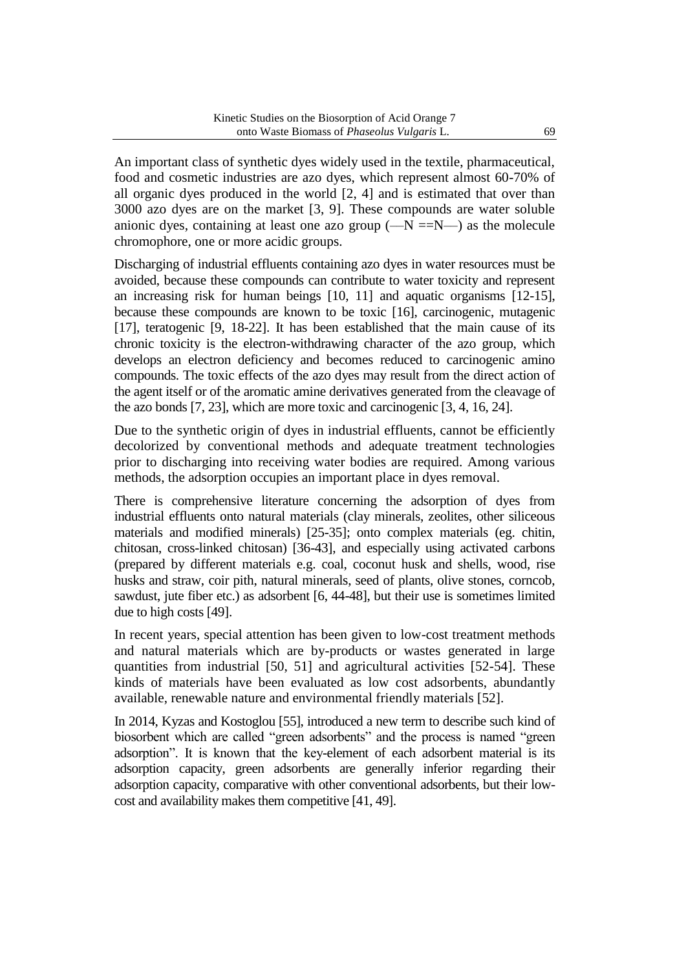An important class of synthetic dyes widely used in the textile, pharmaceutical, food and cosmetic industries are azo dyes, which represent almost 60-70% of all organic dyes produced in the world [2, 4] and is estimated that over than 3000 azo dyes are on the market [3, 9]. These compounds are water soluble anionic dyes, containing at least one azo group  $(-N = N)$  as the molecule chromophore, one or more acidic groups.

Discharging of industrial effluents containing azo dyes in water resources must be avoided, because these compounds can contribute to water toxicity and represent an increasing risk for human beings [10, 11] and aquatic organisms [12-15], because these compounds are known to be toxic [16], carcinogenic, mutagenic [17], teratogenic [9, 18-22]. It has been established that the main cause of its chronic toxicity is the electron-withdrawing character of the azo group, which develops an electron deficiency and becomes reduced to carcinogenic amino compounds. The toxic effects of the azo dyes may result from the direct action of the agent itself or of the aromatic amine derivatives generated from the cleavage of the azo bonds [7, 23], which are more toxic and carcinogenic [3, 4, 16, 24].

Due to the synthetic origin of dyes in industrial effluents, cannot be efficiently decolorized by conventional methods and adequate treatment technologies prior to discharging into receiving water bodies are required. Among various methods, the adsorption occupies an important place in dyes removal.

There is comprehensive literature concerning the adsorption of dyes from industrial effluents onto natural materials (clay minerals, zeolites, other siliceous materials and modified minerals) [25-35]; onto complex materials (eg. chitin, chitosan, cross-linked chitosan) [36-43], and especially using activated carbons (prepared by different materials e.g. coal, coconut husk and shells, wood, rise husks and straw, coir pith, natural minerals, seed of plants, olive stones, corncob, sawdust, jute fiber etc.) as adsorbent [6, 44-48], but their use is sometimes limited due to high costs [49].

In recent years, special attention has been given to low-cost treatment methods and natural materials which are by-products or wastes generated in large quantities from industrial [50, 51] and agricultural activities [52-54]. These kinds of materials have been evaluated as low cost adsorbents, abundantly available, renewable nature and environmental friendly materials [52].

In 2014, Kyzas and Kostoglou [55], introduced a new term to describe such kind of biosorbent which are called "green adsorbents" and the process is named "green adsorption". It is known that the key-element of each adsorbent material is its adsorption capacity, green adsorbents are generally inferior regarding their adsorption capacity, comparative with other conventional adsorbents, but their lowcost and availability makes them competitive [41, 49].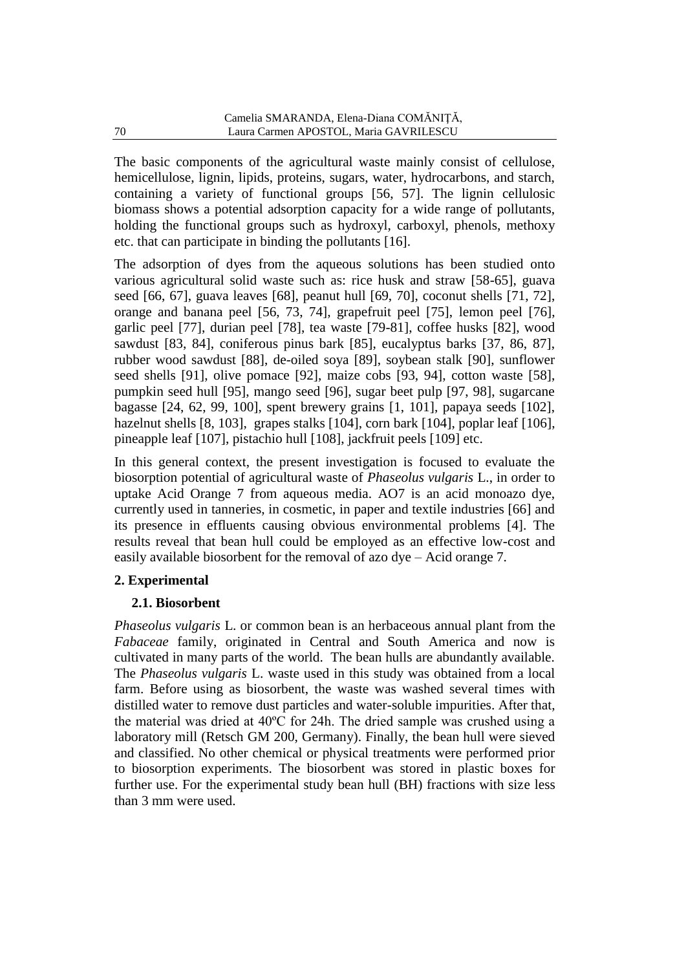The basic components of the agricultural waste mainly consist of cellulose, hemicellulose, lignin, lipids, proteins, sugars, water, hydrocarbons, and starch, containing a variety of functional groups [56, 57]. The lignin cellulosic biomass shows a potential adsorption capacity for a wide range of pollutants, holding the functional groups such as hydroxyl, carboxyl, phenols, methoxy etc. that can participate in binding the pollutants [16].

The adsorption of dyes from the aqueous solutions has been studied onto various agricultural solid waste such as: rice husk and straw [58-65], guava seed [66, 67], guava leaves [68], peanut hull [69, 70], coconut shells [71, 72], orange and banana peel [56, 73, 74], grapefruit peel [75], lemon peel [76], garlic peel [77], durian peel [78], tea waste [79-81], coffee husks [82], wood sawdust [83, 84], coniferous pinus bark [85], eucalyptus barks [37, 86, 87], rubber wood sawdust [88], de-oiled soya [89], soybean stalk [90], sunflower seed shells [91], olive pomace [92], maize cobs [93, 94], cotton waste [58], pumpkin seed hull [95], mango seed [96], sugar beet pulp [97, 98], sugarcane bagasse [24, 62, 99, 100], spent brewery grains [1, 101], papaya seeds [102], hazelnut shells [8, 103], grapes stalks [104], corn bark [104], poplar leaf [106], pineapple leaf [107], pistachio hull [108], jackfruit peels [109] etc.

In this general context, the present investigation is focused to evaluate the biosorption potential of agricultural waste of *Phaseolus vulgaris* L., in order to uptake Acid Orange 7 from aqueous media. AO7 is an acid monoazo dye, currently used in tanneries, in cosmetic, in paper and textile industries [66] and its presence in effluents causing obvious environmental problems [4]. The results reveal that bean hull could be employed as an effective low-cost and easily available biosorbent for the removal of azo dye – Acid orange 7.

## **2. Experimental**

# **2.1. Biosorbent**

*Phaseolus vulgaris* L. or common bean is an herbaceous annual plant from the *Fabaceae* family, originated in Central and South America and now is cultivated in many parts of the world. The bean hulls are abundantly available. The *Phaseolus vulgaris* L. waste used in this study was obtained from a local farm. Before using as biosorbent, the waste was washed several times with distilled water to remove dust particles and water-soluble impurities. After that, the material was dried at 40ºC for 24h. The dried sample was crushed using a laboratory mill (Retsch GM 200, Germany). Finally, the bean hull were sieved and classified. No other chemical or physical treatments were performed prior to biosorption experiments. The biosorbent was stored in plastic boxes for further use. For the experimental study bean hull (BH) fractions with size less than 3 mm were used.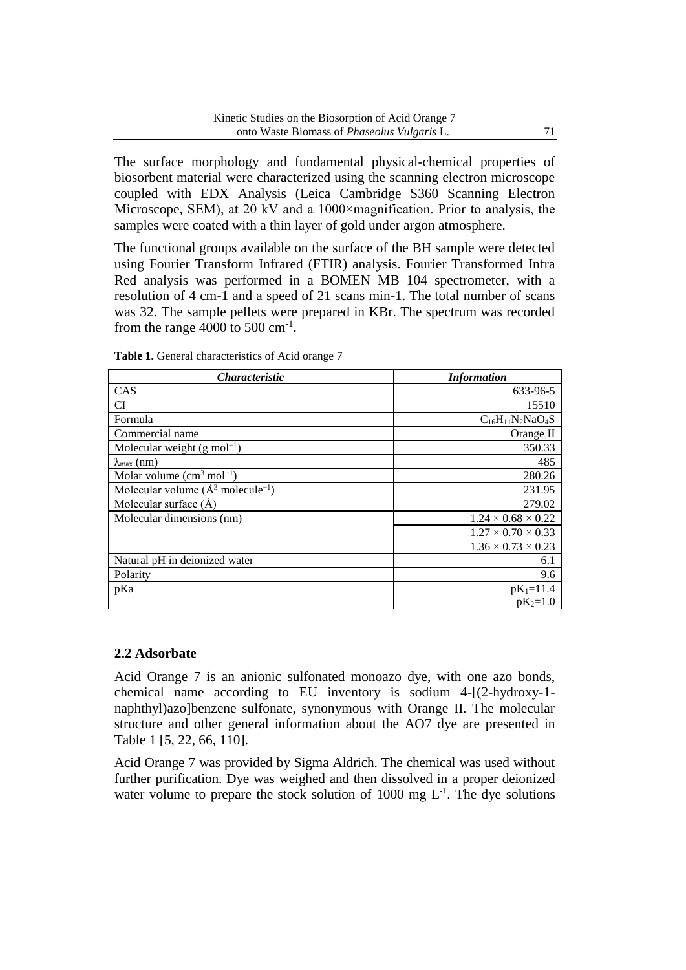The surface morphology and fundamental physical-chemical properties of biosorbent material were characterized using the scanning electron microscope coupled with EDX Analysis (Leica Cambridge S360 Scanning Electron Microscope, SEM), at 20 kV and a 1000×magnification. Prior to analysis, the samples were coated with a thin layer of gold under argon atmosphere.

The functional groups available on the surface of the BH sample were detected using Fourier Transform Infrared (FTIR) analysis. Fourier Transformed Infra Red analysis was performed in a BOMEN MB 104 spectrometer, with a resolution of 4 cm-1 and a speed of 21 scans min-1. The total number of scans was 32. The sample pellets were prepared in KBr. The spectrum was recorded from the range  $4000$  to  $500 \text{ cm}^{-1}$ .

| <i><b>Characteristic</b></i>                     | <b>Information</b>             |
|--------------------------------------------------|--------------------------------|
| <b>CAS</b>                                       | 633-96-5                       |
| CI                                               | 15510                          |
| Formula                                          | $C_{16}H_{11}N_2NaO_4S$        |
| Commercial name                                  | Orange II                      |
| Molecular weight $(g \text{ mol}^{-1})$          | 350.33                         |
| $\lambda_{\text{max}}$ (nm)                      | 485                            |
| Molar volume $\text{(cm}^3 \text{ mol}^{-1})$    | 280.26                         |
| Molecular volume $(\AA^3 \text{ molecule}^{-1})$ | 231.95                         |
| Molecular surface $(\AA)$                        | 279.02                         |
| Molecular dimensions (nm)                        | $1.24 \times 0.68 \times 0.22$ |
|                                                  | $1.27 \times 0.70 \times 0.33$ |
|                                                  | $1.36 \times 0.73 \times 0.23$ |
| Natural pH in deionized water                    | 6.1                            |
| Polarity                                         | 9.6                            |
| pKa                                              | $pK_1=11.4$                    |
|                                                  | $pK_2=1.0$                     |

**Table 1.** General characteristics of Acid orange 7

#### **2.2 Adsorbate**

Acid Orange 7 is an anionic sulfonated monoazo dye, with one azo bonds, chemical name according to EU inventory is sodium 4-[(2-hydroxy-1 naphthyl)azo]benzene sulfonate, synonymous with Orange II. The molecular structure and other general information about the AO7 dye are presented in Table 1 [5, 22, 66, 110].

Acid Orange 7 was provided by Sigma Aldrich. The chemical was used without further purification. Dye was weighed and then dissolved in a proper deionized water volume to prepare the stock solution of 1000 mg  $L^{-1}$ . The dye solutions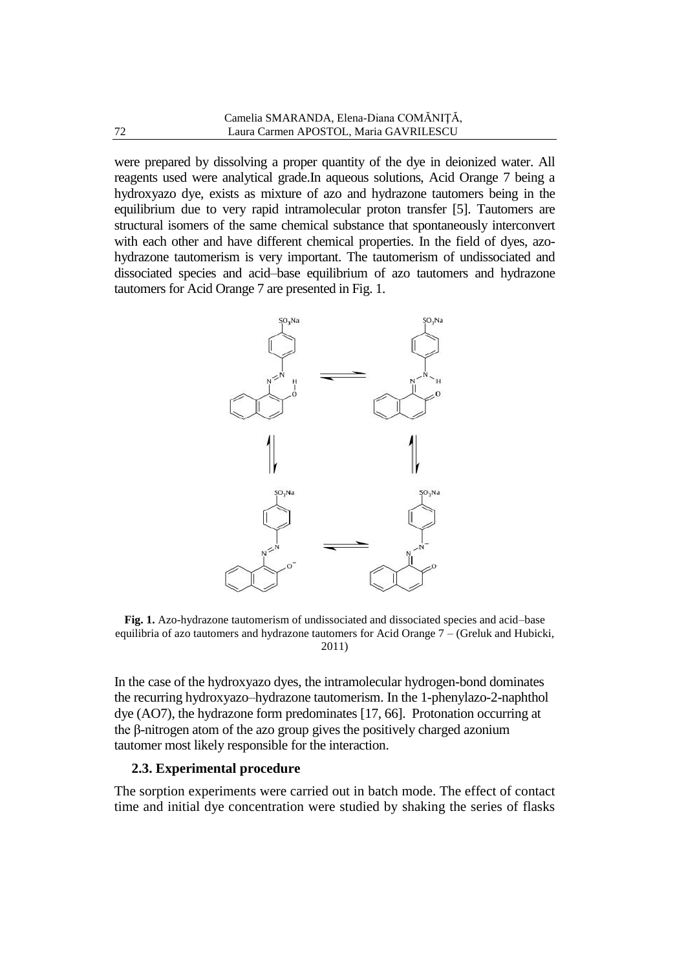were prepared by dissolving a proper quantity of the dye in deionized water. All reagents used were analytical grade.In aqueous solutions, Acid Orange 7 being a hydroxyazo dye, exists as mixture of azo and hydrazone tautomers being in the equilibrium due to very rapid intramolecular proton transfer [5]. Tautomers are structural isomers of the same chemical substance that spontaneously interconvert with each other and have different chemical properties. In the field of dyes, azohydrazone tautomerism is very important. The tautomerism of undissociated and dissociated species and acid–base equilibrium of azo tautomers and hydrazone tautomers for Acid Orange 7 are presented in Fig. 1.



**Fig. 1.** Azo-hydrazone tautomerism of undissociated and dissociated species and acid–base equilibria of azo tautomers and hydrazone tautomers for Acid Orange 7 – (Greluk and Hubicki, 2011)

In the case of the hydroxyazo dyes, the intramolecular hydrogen-bond dominates the recurring hydroxyazo–hydrazone tautomerism. In the 1-phenylazo-2-naphthol dye (AO7), the hydrazone form predominates [17, 66]. Protonation occurring at the β-nitrogen atom of the azo group gives the positively charged azonium tautomer most likely responsible for the interaction.

#### **2.3. Experimental procedure**

The sorption experiments were carried out in batch mode. The effect of contact time and initial dye concentration were studied by shaking the series of flasks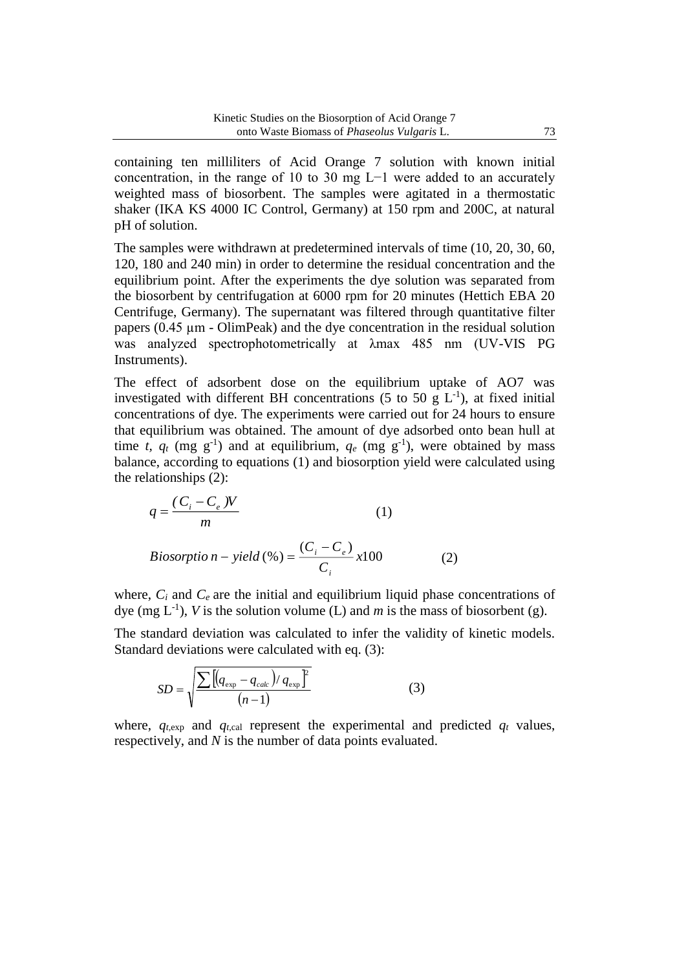containing ten milliliters of Acid Orange 7 solution with known initial concentration, in the range of 10 to 30 mg L−1 were added to an accurately weighted mass of biosorbent. The samples were agitated in a thermostatic shaker (IKA KS 4000 IC Control, Germany) at 150 rpm and 200C, at natural pH of solution.

The samples were withdrawn at predetermined intervals of time (10, 20, 30, 60, 120, 180 and 240 min) in order to determine the residual concentration and the equilibrium point. After the experiments the dye solution was separated from the biosorbent by centrifugation at 6000 rpm for 20 minutes (Hettich EBA 20 Centrifuge, Germany). The supernatant was filtered through quantitative filter papers  $(0.45 \mu m - OlimPeak)$  and the dye concentration in the residual solution was analyzed spectrophotometrically at λmax 485 nm (UV-VIS PG Instruments).

The effect of adsorbent dose on the equilibrium uptake of AO7 was investigated with different BH concentrations (5 to 50 g  $L^{-1}$ ), at fixed initial concentrations of dye. The experiments were carried out for 24 hours to ensure that equilibrium was obtained. The amount of dye adsorbed onto bean hull at time *t*,  $q_t$  (mg g<sup>-1</sup>) and at equilibrium,  $q_e$  (mg g<sup>-1</sup>), were obtained by mass balance, according to equations (1) and biosorption yield were calculated using the relationships (2):

$$
q = \frac{(C_i - C_e)W}{m}
$$
 (1)  
\n*Biosorption* – yield (%) =  $\frac{(C_i - C_e)}{C_i}$  x100 (2)

where,  $C_i$  and  $C_e$  are the initial and equilibrium liquid phase concentrations of dye (mg  $L^{-1}$ ), *V* is the solution volume (L) and *m* is the mass of biosorbent (g).

The standard deviation was calculated to infer the validity of kinetic models. Standard deviations were calculated with eq. (3):

$$
SD = \sqrt{\frac{\sum [(q_{\exp} - q_{\text{calc}})/q_{\exp}]^2}{(n-1)}}
$$
(3)

where,  $q_{t,exp}$  and  $q_{t,cal}$  represent the experimental and predicted  $q_t$  values, respectively, and *N* is the number of data points evaluated.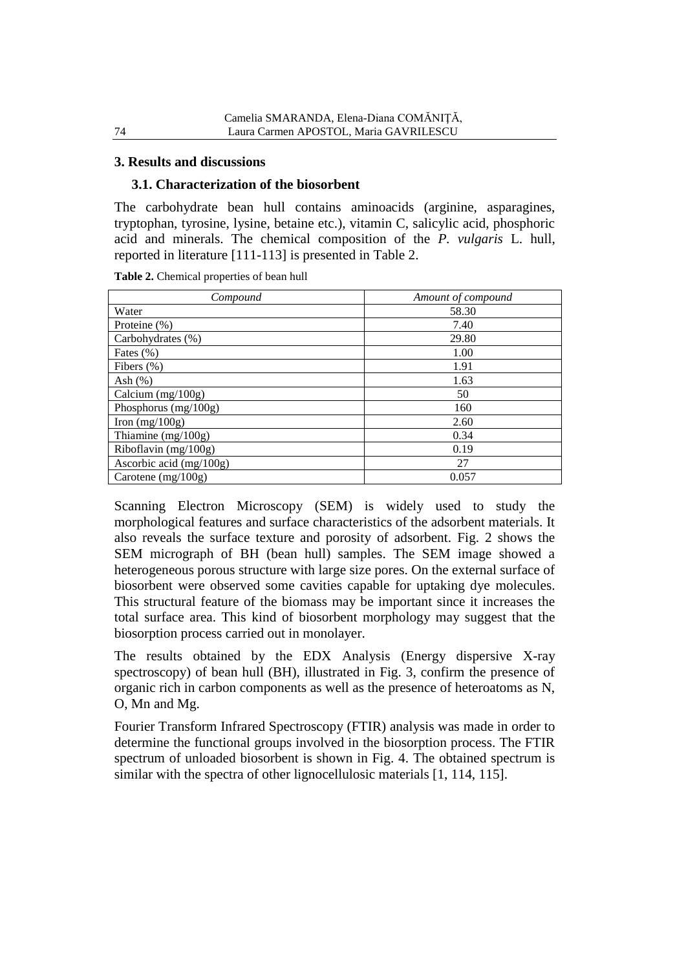#### **3. Results and discussions**

#### **3.1. Characterization of the biosorbent**

The carbohydrate bean hull contains aminoacids (arginine, asparagines, tryptophan, tyrosine, lysine, betaine etc.), vitamin C, salicylic acid, phosphoric acid and minerals. The chemical composition of the *P. vulgaris* L. hull, reported in literature [111-113] is presented in Table 2.

**Table 2.** Chemical properties of bean hull

| Compound                  | Amount of compound |
|---------------------------|--------------------|
| Water                     | 58.30              |
| Proteine (%)              | 7.40               |
| Carbohydrates (%)         | 29.80              |
| Fates $(\% )$             | 1.00               |
| Fibers $(\%)$             | 1.91               |
| Ash $(\%)$                | 1.63               |
| Calcium (mg/100g)         | 50                 |
| Phosphorus $(mg/100g)$    | 160                |
| Iron $(mg/100g)$          | 2.60               |
| Thiamine $(mg/100g)$      | 0.34               |
| Riboflavin (mg/100g)      | 0.19               |
| Ascorbic acid $(mg/100g)$ | 27                 |
| Carotene $(mg/100g)$      | 0.057              |

Scanning Electron Microscopy (SEM) is widely used to study the morphological features and surface characteristics of the adsorbent materials. It also reveals the surface texture and porosity of adsorbent. Fig. 2 shows the SEM micrograph of BH (bean hull) samples. The SEM image showed a heterogeneous porous structure with large size pores. On the external surface of biosorbent were observed some cavities capable for uptaking dye molecules. This structural feature of the biomass may be important since it increases the total surface area. This kind of biosorbent morphology may suggest that the biosorption process carried out in monolayer.

The results obtained by the EDX Analysis (Energy dispersive X-ray spectroscopy) of bean hull (BH), illustrated in Fig. 3, confirm the presence of organic rich in carbon components as well as the presence of heteroatoms as N, O, Mn and Mg.

Fourier Transform Infrared Spectroscopy (FTIR) analysis was made in order to determine the functional groups involved in the biosorption process. The FTIR spectrum of unloaded biosorbent is shown in Fig. 4. The obtained spectrum is similar with the spectra of other lignocellulosic materials [1, 114, 115].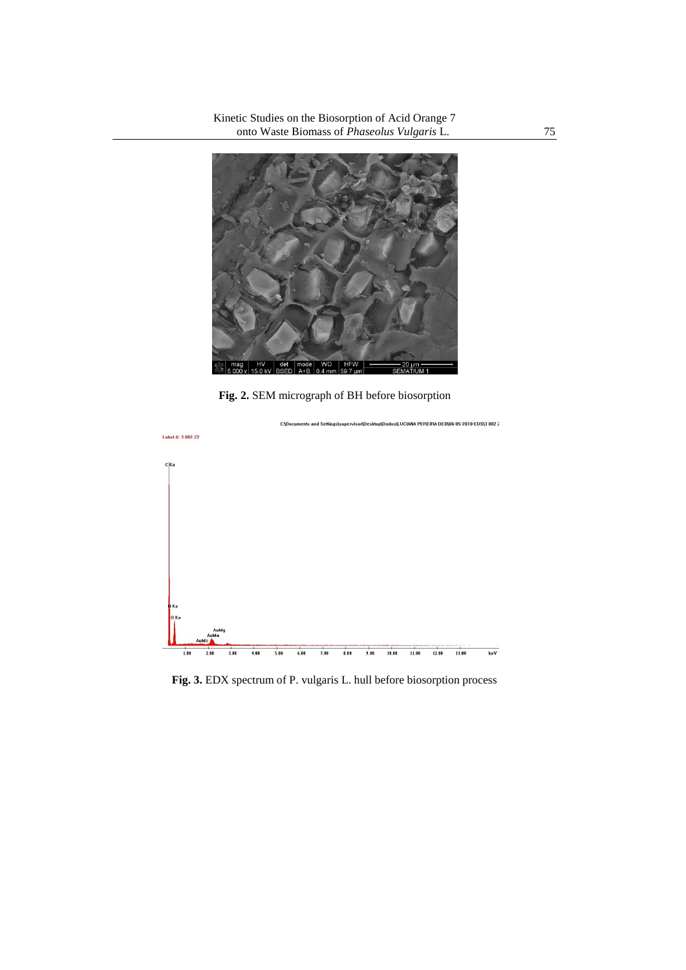

**Fig. 2.** SEM micrograph of BH before biosorption



**Fig. 3.** EDX spectrum of P. vulgaris L. hull before biosorption process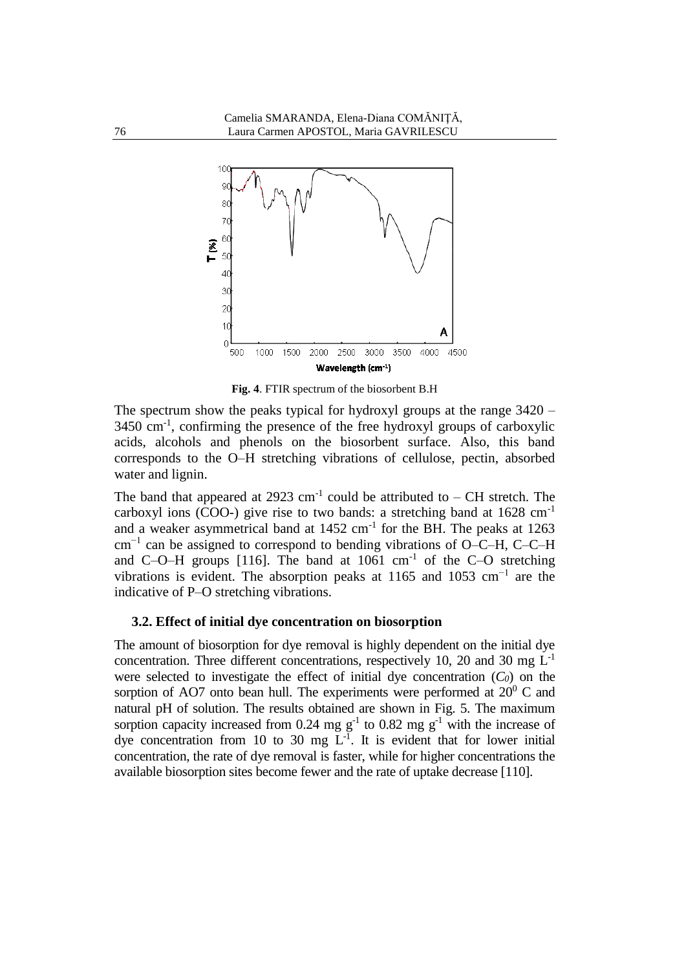

**Fig. 4**. FTIR spectrum of the biosorbent B.H

The spectrum show the peaks typical for hydroxyl groups at the range 3420 – 3450 cm-1 , confirming the presence of the free hydroxyl groups of carboxylic acids, alcohols and phenols on the biosorbent surface. Also, this band corresponds to the O–H stretching vibrations of cellulose, pectin, absorbed water and lignin.

The band that appeared at 2923 cm<sup>-1</sup> could be attributed to  $-$  CH stretch. The carboxyl ions (COO-) give rise to two bands: a stretching band at  $1628 \text{ cm}^{-1}$ and a weaker asymmetrical band at  $1452 \text{ cm}^{-1}$  for the BH. The peaks at  $1263$ cm−1 can be assigned to correspond to bending vibrations of O–C–H, C–C–H and C–O–H groups [116]. The band at  $1061 \text{ cm}^{-1}$  of the C–O stretching vibrations is evident. The absorption peaks at 1165 and 1053 cm<sup>-1</sup> are the indicative of P–O stretching vibrations.

#### **3.2. Effect of initial dye concentration on biosorption**

The amount of biosorption for dye removal is highly dependent on the initial dye concentration. Three different concentrations, respectively 10, 20 and 30 mg  $L^{-1}$ were selected to investigate the effect of initial dye concentration  $(C_0)$  on the sorption of AO7 onto bean hull. The experiments were performed at  $20^0$  C and natural pH of solution. The results obtained are shown in Fig. 5. The maximum sorption capacity increased from 0.24 mg  $g^{-1}$  to 0.82 mg  $g^{-1}$  with the increase of dye concentration from 10 to 30 mg  $L^{-1}$ . It is evident that for lower initial concentration, the rate of dye removal is faster, while for higher concentrations the available biosorption sites become fewer and the rate of uptake decrease [110].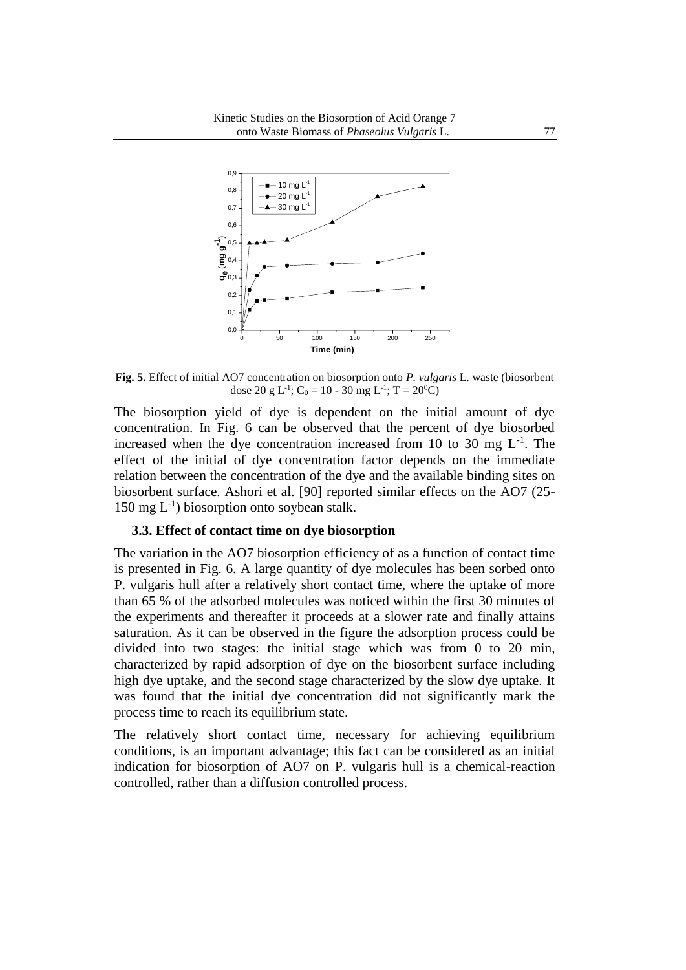

**Fig. 5.** Effect of initial AO7 concentration on biosorption onto *P. vulgaris* L. waste (biosorbent dose 20 g L<sup>-1</sup>; C<sub>0</sub> = 10 - 30 mg L<sup>-1</sup>; T = 20<sup>0</sup>C)

The biosorption yield of dye is dependent on the initial amount of dye concentration. In Fig. 6 can be observed that the percent of dye biosorbed increased when the dye concentration increased from 10 to 30 mg  $L^{-1}$ . The effect of the initial of dye concentration factor depends on the immediate relation between the concentration of the dye and the available binding sites on biosorbent surface. Ashori et al. [90] reported similar effects on the AO7 (25-  $150 \text{ mg } L^{-1}$ ) biosorption onto soybean stalk.

#### **3.3. Effect of contact time on dye biosorption**

The variation in the AO7 biosorption efficiency of as a function of contact time is presented in Fig. 6. A large quantity of dye molecules has been sorbed onto P. vulgaris hull after a relatively short contact time, where the uptake of more than 65 % of the adsorbed molecules was noticed within the first 30 minutes of the experiments and thereafter it proceeds at a slower rate and finally attains saturation. As it can be observed in the figure the adsorption process could be divided into two stages: the initial stage which was from 0 to 20 min, characterized by rapid adsorption of dye on the biosorbent surface including high dye uptake, and the second stage characterized by the slow dye uptake. It was found that the initial dye concentration did not significantly mark the process time to reach its equilibrium state.

The relatively short contact time, necessary for achieving equilibrium conditions, is an important advantage; this fact can be considered as an initial indication for biosorption of AO7 on P. vulgaris hull is a chemical-reaction controlled, rather than a diffusion controlled process.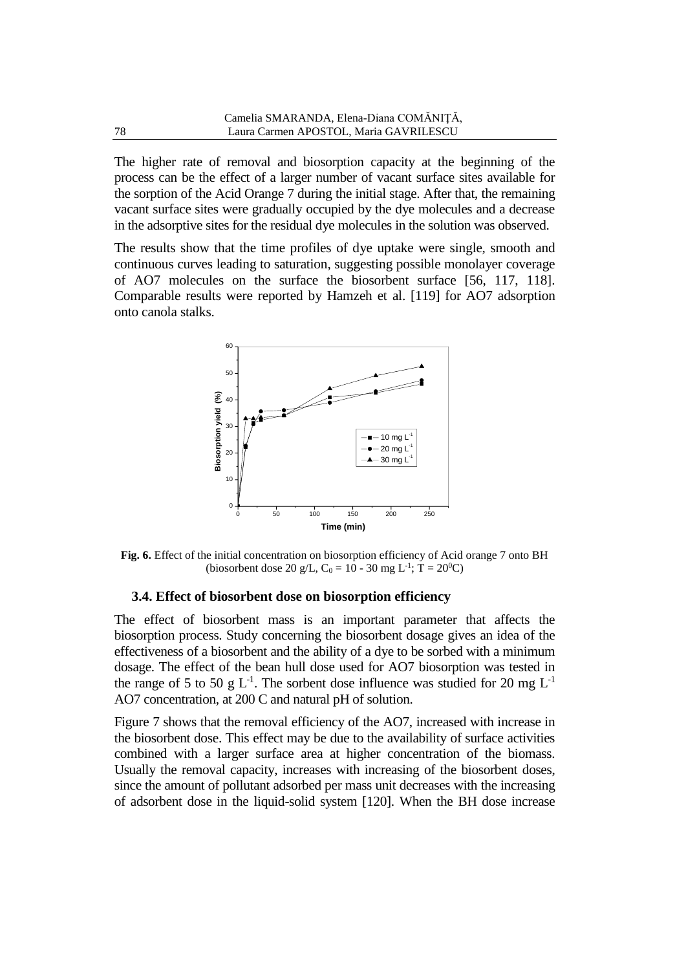The higher rate of removal and biosorption capacity at the beginning of the process can be the effect of a larger number of vacant surface sites available for the sorption of the Acid Orange 7 during the initial stage. After that, the remaining vacant surface sites were gradually occupied by the dye molecules and a decrease in the adsorptive sites for the residual dye molecules in the solution was observed.

The results show that the time profiles of dye uptake were single, smooth and continuous curves leading to saturation, suggesting possible monolayer coverage of AO7 molecules on the surface the biosorbent surface [56, 117, 118]. Comparable results were reported by Hamzeh et al. [119] for AO7 adsorption onto canola stalks.



**Fig. 6.** Effect of the initial concentration on biosorption efficiency of Acid orange 7 onto BH (biosorbent dose 20 g/L,  $C_0 = 10 - 30$  mg L<sup>-1</sup>; T = 20<sup>0</sup>C)

#### **3.4. Effect of biosorbent dose on biosorption efficiency**

The effect of biosorbent mass is an important parameter that affects the biosorption process. Study concerning the biosorbent dosage gives an idea of the effectiveness of a biosorbent and the ability of a dye to be sorbed with a minimum dosage. The effect of the bean hull dose used for AO7 biosorption was tested in the range of 5 to 50 g  $L^{-1}$ . The sorbent dose influence was studied for 20 mg  $L^{-1}$ AO7 concentration, at 200 C and natural pH of solution.

Figure 7 shows that the removal efficiency of the AO7, increased with increase in the biosorbent dose. This effect may be due to the availability of surface activities combined with a larger surface area at higher concentration of the biomass. Usually the removal capacity, increases with increasing of the biosorbent doses, since the amount of pollutant adsorbed per mass unit decreases with the increasing of adsorbent dose in the liquid-solid system [120]. When the BH dose increase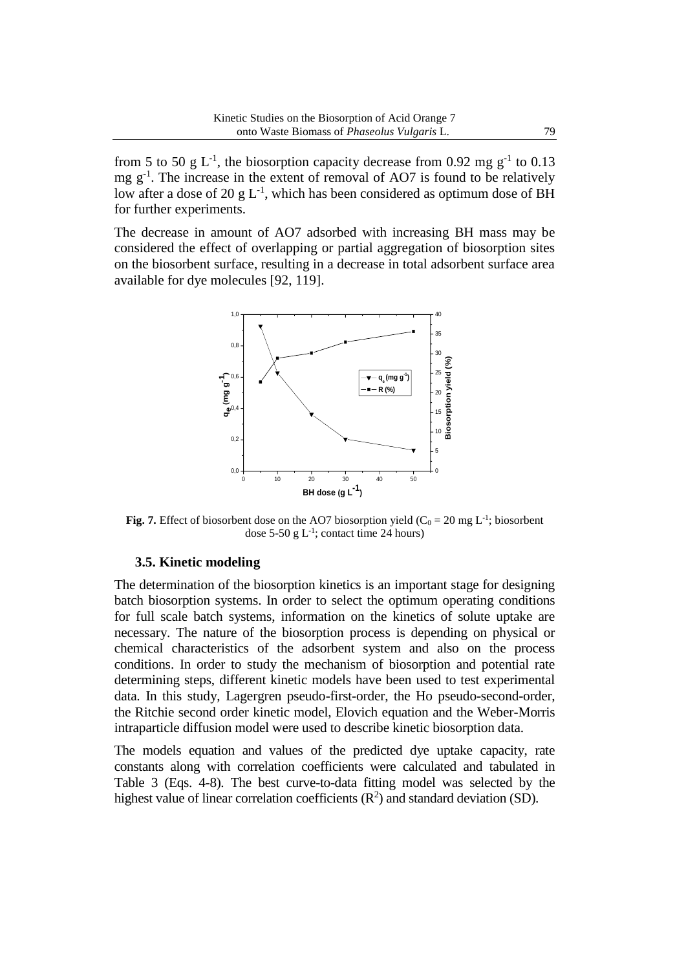from 5 to 50 g L<sup>-1</sup>, the biosorption capacity decrease from 0.92 mg  $g^{-1}$  to 0.13 mg  $g^{-1}$ . The increase in the extent of removal of AO7 is found to be relatively low after a dose of 20 g  $L^{-1}$ , which has been considered as optimum dose of BH for further experiments.

The decrease in amount of AO7 adsorbed with increasing BH mass may be considered the effect of overlapping or partial aggregation of biosorption sites on the biosorbent surface, resulting in a decrease in total adsorbent surface area available for dye molecules [92, 119].



**Fig. 7.** Effect of biosorbent dose on the AO7 biosorption yield  $(C_0 = 20 \text{ mg } L^{-1}$ ; biosorbent dose 5-50 g  $L^{-1}$ ; contact time 24 hours)

#### **3.5. Kinetic modeling**

The determination of the biosorption kinetics is an important stage for designing batch biosorption systems. In order to select the optimum operating conditions for full scale batch systems, information on the kinetics of solute uptake are necessary. The nature of the biosorption process is depending on physical or chemical characteristics of the adsorbent system and also on the process conditions. In order to study the mechanism of biosorption and potential rate determining steps, different kinetic models have been used to test experimental data. In this study, Lagergren pseudo-first-order, the Ho pseudo-second-order, the Ritchie second order kinetic model, Elovich equation and the Weber-Morris intraparticle diffusion model were used to describe kinetic biosorption data.

The models equation and values of the predicted dye uptake capacity, rate constants along with correlation coefficients were calculated and tabulated in Table 3 (Eqs. 4-8). The best curve-to-data fitting model was selected by the highest value of linear correlation coefficients  $(R^2)$  and standard deviation (SD).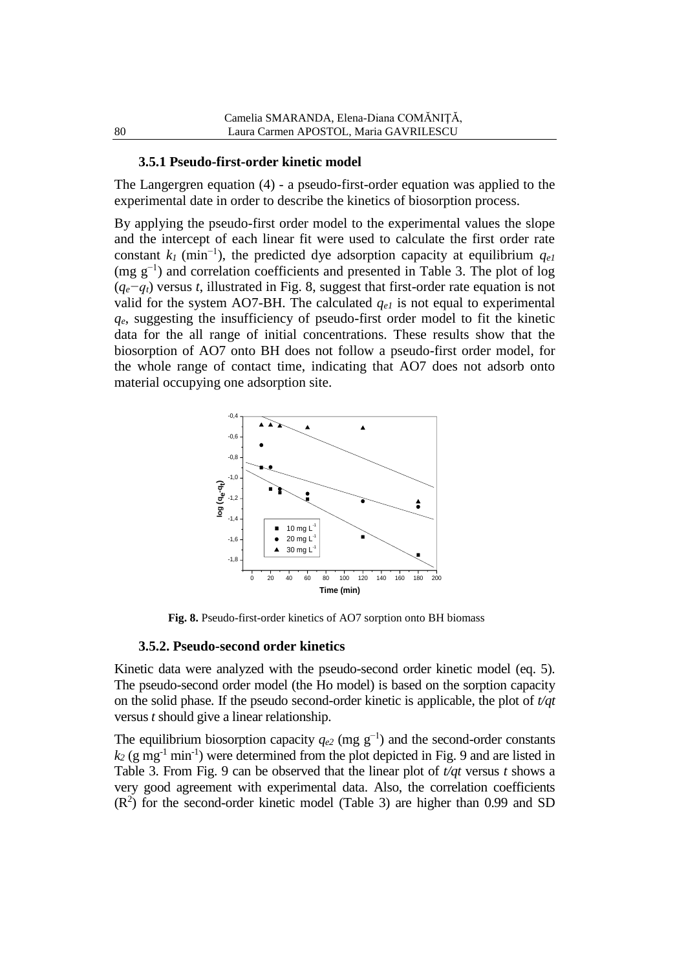#### **3.5.1 Pseudo-first-order kinetic model**

The Langergren equation (4) - a pseudo-first-order equation was applied to the experimental date in order to describe the kinetics of biosorption process.

By applying the pseudo-first order model to the experimental values the slope and the intercept of each linear fit were used to calculate the first order rate constant  $k_I$  (min<sup>-1</sup>), the predicted dye adsorption capacity at equilibrium  $q_{eI}$ (mg  $g^{-1}$ ) and correlation coefficients and presented in Table 3. The plot of log (*qe−qt*) versus *t*, illustrated in Fig. 8, suggest that first-order rate equation is not valid for the system AO7-BH. The calculated  $q_{el}$  is not equal to experimental *qe*, suggesting the insufficiency of pseudo-first order model to fit the kinetic data for the all range of initial concentrations. These results show that the biosorption of AO7 onto BH does not follow a pseudo-first order model, for the whole range of contact time, indicating that AO7 does not adsorb onto material occupying one adsorption site.



**Fig. 8.** Pseudo-first-order kinetics of AO7 sorption onto BH biomass

#### **3.5.2. Pseudo-second order kinetics**

Kinetic data were analyzed with the pseudo-second order kinetic model (eq. 5). The pseudo-second order model (the Ho model) is based on the sorption capacity on the solid phase. If the pseudo second-order kinetic is applicable, the plot of *t/qt* versus *t* should give a linear relationship.

The equilibrium biosorption capacity  $q_{e2}$  (mg g<sup>-1</sup>) and the second-order constants  $k_2$  (g mg<sup>-1</sup> min<sup>-1</sup>) were determined from the plot depicted in Fig. 9 and are listed in Table 3. From Fig. 9 can be observed that the linear plot of *t/qt* versus *t* shows a very good agreement with experimental data. Also, the correlation coefficients  $(R<sup>2</sup>)$  for the second-order kinetic model (Table 3) are higher than 0.99 and SD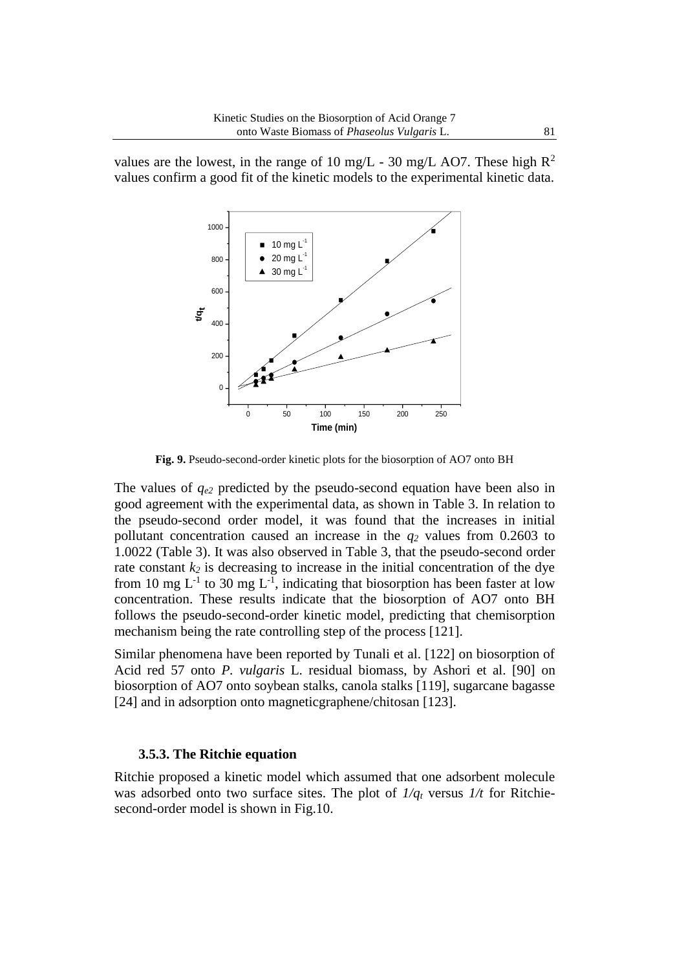values are the lowest, in the range of 10 mg/L - 30 mg/L AO7. These high  $\mathbb{R}^2$ values confirm a good fit of the kinetic models to the experimental kinetic data.



**Fig. 9.** Pseudo-second-order kinetic plots for the biosorption of AO7 onto BH

The values of  $q_{e2}$  predicted by the pseudo-second equation have been also in good agreement with the experimental data, as shown in Table 3. In relation to the pseudo-second order model, it was found that the increases in initial pollutant concentration caused an increase in the *q<sup>2</sup>* values from 0.2603 to 1.0022 (Table 3). It was also observed in Table 3, that the pseudo-second order rate constant  $k_2$  is decreasing to increase in the initial concentration of the dye from 10 mg  $L^{-1}$  to 30 mg  $L^{-1}$ , indicating that biosorption has been faster at low concentration. These results indicate that the biosorption of AO7 onto BH follows the pseudo-second-order kinetic model, predicting that chemisorption mechanism being the rate controlling step of the process [121].

Similar phenomena have been reported by Tunali et al. [122] on biosorption of Acid red 57 onto *P. vulgaris* L. residual biomass, by Ashori et al. [90] on biosorption of AO7 onto soybean stalks, canola stalks [119], sugarcane bagasse [24] and in adsorption onto magnetic graphene/chitosan [123].

#### **3.5.3. The Ritchie equation**

Ritchie proposed a kinetic model which assumed that one adsorbent molecule was adsorbed onto two surface sites. The plot of *1/q<sup>t</sup>* versus *1/t* for Ritchiesecond-order model is shown in Fig.10.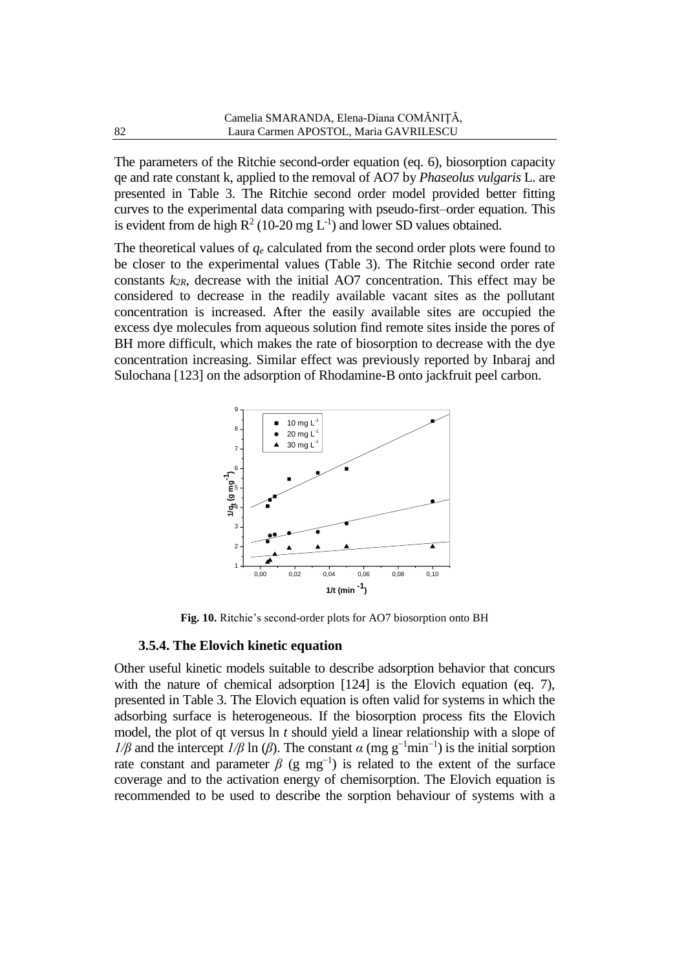The parameters of the Ritchie second-order equation (eq. 6), biosorption capacity qe and rate constant k, applied to the removal of AO7 by *Phaseolus vulgaris* L. are presented in Table 3. The Ritchie second order model provided better fitting curves to the experimental data comparing with pseudo-first–order equation. This is evident from de high  $R^2$  (10-20 mg  $L^{-1}$ ) and lower SD values obtained.

The theoretical values of  $q_e$  calculated from the second order plots were found to be closer to the experimental values (Table 3). The Ritchie second order rate constants *k2R*, decrease with the initial AO7 concentration. This effect may be considered to decrease in the readily available vacant sites as the pollutant concentration is increased. After the easily available sites are occupied the excess dye molecules from aqueous solution find remote sites inside the pores of BH more difficult, which makes the rate of biosorption to decrease with the dye concentration increasing. Similar effect was previously reported by Inbaraj and Sulochana [123] on the adsorption of Rhodamine-B onto jackfruit peel carbon.



**Fig. 10.** Ritchie's second-order plots for AO7 biosorption onto BH

#### **3.5.4. The Elovich kinetic equation**

Other useful kinetic models suitable to describe adsorption behavior that concurs with the nature of chemical adsorption [124] is the Elovich equation (eq. 7), presented in Table 3. The Elovich equation is often valid for systems in which the adsorbing surface is heterogeneous. If the biosorption process fits the Elovich model, the plot of qt versus ln *t* should yield a linear relationship with a slope of *1/β* and the intercept *1/β* ln (*β*). The constant  $\alpha$  (mg g<sup>-1</sup>min<sup>-1</sup>) is the initial sorption rate constant and parameter  $\beta$  (g mg<sup>-1</sup>) is related to the extent of the surface coverage and to the activation energy of chemisorption. The Elovich equation is recommended to be used to describe the sorption behaviour of systems with a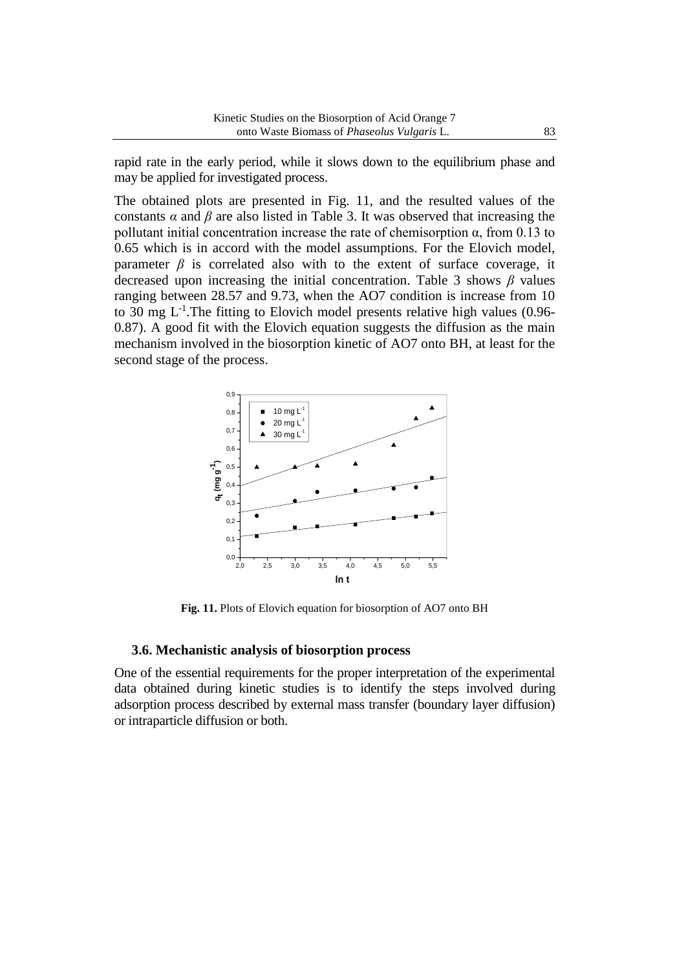rapid rate in the early period, while it slows down to the equilibrium phase and may be applied for investigated process.

The obtained plots are presented in Fig. 11, and the resulted values of the constants  $\alpha$  and  $\beta$  are also listed in Table 3. It was observed that increasing the pollutant initial concentration increase the rate of chemisorption  $\alpha$ , from 0.13 to 0.65 which is in accord with the model assumptions. For the Elovich model, parameter  $\beta$  is correlated also with to the extent of surface coverage, it decreased upon increasing the initial concentration. Table 3 shows *β* values ranging between 28.57 and 9.73, when the AO7 condition is increase from 10 to 30 mg  $L^{-1}$ . The fitting to Elovich model presents relative high values (0.96-0.87). A good fit with the Elovich equation suggests the diffusion as the main mechanism involved in the biosorption kinetic of AO7 onto BH, at least for the second stage of the process.



**Fig. 11.** Plots of Elovich equation for biosorption of AO7 onto BH

#### **3.6. Mechanistic analysis of biosorption process**

One of the essential requirements for the proper interpretation of the experimental data obtained during kinetic studies is to identify the steps involved during adsorption process described by external mass transfer (boundary layer diffusion) or intraparticle diffusion or both.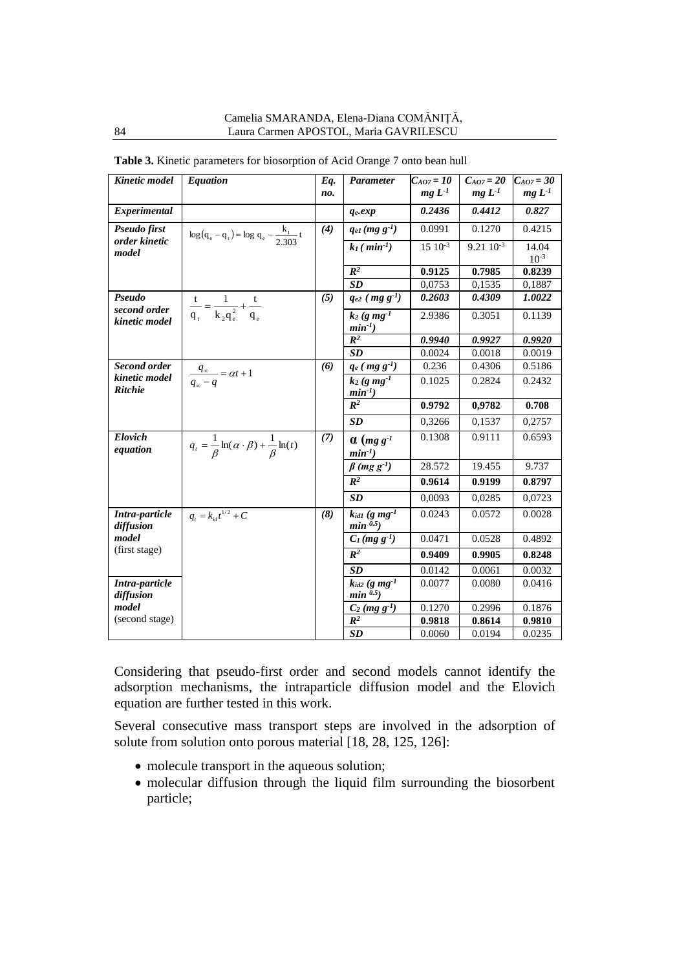| Kinetic model                          | <b>Equation</b>                                                          | Eq. | Parameter                                    | $C_{AO7} = 10$ | $C_{AO7} = 20$   | $C_{AO7} = 30$     |
|----------------------------------------|--------------------------------------------------------------------------|-----|----------------------------------------------|----------------|------------------|--------------------|
|                                        |                                                                          | no. |                                              | $mg L-1$       | $mg L-1$         | $mg L-1$           |
| Experimental                           |                                                                          |     | $q_e, exp$                                   | 0.2436         | 0.4412           | 0.827              |
| Pseudo first<br>order kinetic<br>model | $\log (q_e - q_t) = \log q_e - \frac{k_1}{2.303} t$                      | (4) | $q_{el}$ (mg $g^{-1}$ )                      | 0.0991         | 0.1270           | 0.4215             |
|                                        |                                                                          |     | $k_1$ (min <sup>-1</sup> )                   | $15 \ 10^{-3}$ | $9.21 \ 10^{-3}$ | 14.04<br>$10^{-3}$ |
|                                        |                                                                          |     | $\mathbb{R}^2$                               | 0.9125         | 0.7985           | 0.8239             |
|                                        |                                                                          |     | SD                                           | 0,0753         | 0,1535           | 0,1887             |
| Pseudo                                 |                                                                          | (5) | $q_{e2}$ ( $mg\ g^{-1}$ )                    | 0.2603         | 0.4309           | 1.0022             |
| second order<br>kinetic model          | $rac{t}{q_t} = \frac{1}{k_2 q_e^2} + \frac{t}{q_e}$                      |     | $k_2$ (g mg <sup>-1</sup>                    | 2.9386         | 0.3051           | 0.1139             |
|                                        |                                                                          |     | $min^{-1}$<br>$R^2$                          | 0.9940         | 0.9927           | 0.9920             |
|                                        |                                                                          |     | SD                                           | 0.0024         | 0.0018           | 0.0019             |
| Second order                           |                                                                          | (6) | $q_e$ ( $mg\ g^{-1}$ )                       | 0.236          | 0.4306           | 0.5186             |
| kinetic model<br><b>Ritchie</b>        | $\frac{q_{\infty}}{q_{\infty}-q} = \alpha t + 1$                         |     | $k_2$ (g mg <sup>-1</sup>                    | 0.1025         | 0.2824           | 0.2432             |
|                                        |                                                                          |     | $min^{-1}$                                   |                |                  |                    |
|                                        |                                                                          |     | $\mathbb{R}^2$                               | 0.9792         | 0,9782           | 0.708              |
|                                        |                                                                          |     | SD                                           | 0,3266         | 0,1537           | 0,2757             |
| <b>Elovich</b>                         | $q_t = \frac{1}{\beta} \ln(\alpha \cdot \beta) + \frac{1}{\beta} \ln(t)$ | (7) | $\alpha$ (mg g <sup>-1</sup>                 | 0.1308         | 0.9111           | 0.6593             |
| equation                               |                                                                          |     | $min^{-1}$ )                                 |                |                  |                    |
|                                        |                                                                          |     | $\beta$ (mg g <sup>-1</sup> )                | 28.572         | 19.455           | 9.737              |
|                                        |                                                                          |     | $R^2$                                        | 0.9614         | 0.9199           | 0.8797             |
|                                        |                                                                          |     | SD                                           | 0,0093         | 0,0285           | 0,0723             |
| Intra-particle<br>diffusion            | $q_t = k_{id}t^{1/2} + C$                                                | (8) | $k_{idl}$ (g mg <sup>-1</sup><br>$min^{0.5}$ | 0.0243         | 0.0572           | 0.0028             |
| model                                  |                                                                          |     | $C_l$ (mg g <sup>-1</sup> )                  | 0.0471         | 0.0528           | 0.4892             |
| (first stage)                          |                                                                          |     | $\mathbb{R}^2$                               | 0.9409         | 0.9905           | 0.8248             |
|                                        |                                                                          |     | SD                                           | 0.0142         | 0.0061           | 0.0032             |
| Intra-particle<br>diffusion            |                                                                          |     | $k_{id2}$ (g mg <sup>-1</sup><br>$min^{0.5}$ | 0.0077         | 0.0080           | 0.0416             |
| model                                  |                                                                          |     | $C_2$ (mg $g^{-1}$ )                         | 0.1270         | 0.2996           | 0.1876             |
| (second stage)                         |                                                                          |     | $I\!\!R^2$                                   | 0.9818         | 0.8614           | 0.9810             |
|                                        |                                                                          |     | SD                                           | 0.0060         | 0.0194           | 0.0235             |

**Table 3.** Kinetic parameters for biosorption of Acid Orange 7 onto bean hull

Considering that pseudo-first order and second models cannot identify the adsorption mechanisms, the intraparticle diffusion model and the Elovich equation are further tested in this work.

Several consecutive mass transport steps are involved in the adsorption of solute from solution onto porous material [18, 28, 125, 126]:

- molecule transport in the aqueous solution;
- molecular diffusion through the liquid film surrounding the biosorbent particle;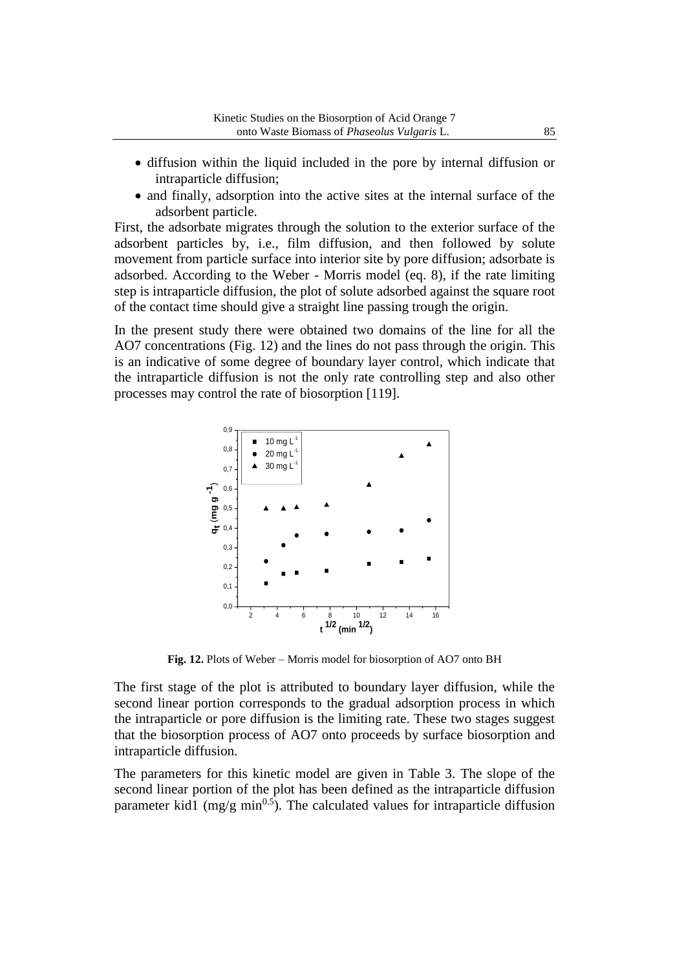- diffusion within the liquid included in the pore by internal diffusion or intraparticle diffusion;
- and finally, adsorption into the active sites at the internal surface of the adsorbent particle.

First, the adsorbate migrates through the solution to the exterior surface of the adsorbent particles by, i.e., film diffusion, and then followed by solute movement from particle surface into interior site by pore diffusion; adsorbate is adsorbed. According to the Weber - Morris model (eq. 8), if the rate limiting step is intraparticle diffusion, the plot of solute adsorbed against the square root of the contact time should give a straight line passing trough the origin.

In the present study there were obtained two domains of the line for all the AO7 concentrations (Fig. 12) and the lines do not pass through the origin. This is an indicative of some degree of boundary layer control, which indicate that the intraparticle diffusion is not the only rate controlling step and also other processes may control the rate of biosorption [119].



**Fig. 12.** Plots of Weber – Morris model for biosorption of AO7 onto BH

The first stage of the plot is attributed to boundary layer diffusion, while the second linear portion corresponds to the gradual adsorption process in which the intraparticle or pore diffusion is the limiting rate. These two stages suggest that the biosorption process of AO7 onto proceeds by surface biosorption and intraparticle diffusion.

The parameters for this kinetic model are given in Table 3. The slope of the second linear portion of the plot has been defined as the intraparticle diffusion parameter kid1 (mg/g min<sup>0.5</sup>). The calculated values for intraparticle diffusion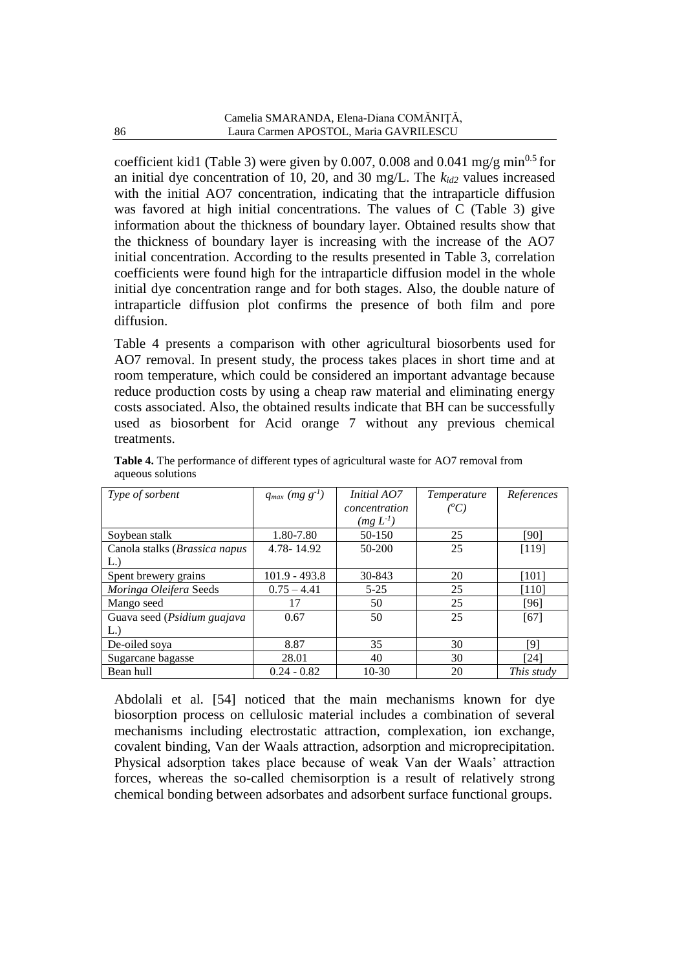coefficient kid1 (Table 3) were given by 0.007, 0.008 and 0.041 mg/g min<sup>0.5</sup> for an initial dye concentration of 10, 20, and 30 mg/L. The  $k_{id2}$  values increased with the initial AO7 concentration, indicating that the intraparticle diffusion was favored at high initial concentrations. The values of C (Table 3) give information about the thickness of boundary layer. Obtained results show that the thickness of boundary layer is increasing with the increase of the AO7 initial concentration. According to the results presented in Table 3, correlation coefficients were found high for the intraparticle diffusion model in the whole initial dye concentration range and for both stages. Also, the double nature of intraparticle diffusion plot confirms the presence of both film and pore diffusion.

Table 4 presents a comparison with other agricultural biosorbents used for AO7 removal. In present study, the process takes places in short time and at room temperature, which could be considered an important advantage because reduce production costs by using a cheap raw material and eliminating energy costs associated. Also, the obtained results indicate that BH can be successfully used as biosorbent for Acid orange 7 without any previous chemical treatments.

| Type of sorbent               | $q_{max}$ (mg $g^{-1}$ ) | <i>Initial AO7</i> | <i>Temperature</i> | References |
|-------------------------------|--------------------------|--------------------|--------------------|------------|
|                               |                          | concentration      | $(^oC)$            |            |
|                               |                          | $(mg L-1)$         |                    |            |
| Soybean stalk                 | 1.80-7.80                | 50-150             | 25                 | [90]       |
| Canola stalks (Brassica napus | 4.78-14.92               | 50-200             | 25                 | [119]      |
| L.                            |                          |                    |                    |            |
| Spent brewery grains          | $101.9 - 493.8$          | 30-843             | 20                 | [101]      |
| Moringa Oleifera Seeds        | $0.75 - 4.41$            | $5 - 25$           | 25                 | [110]      |
| Mango seed                    | 17                       | 50                 | 25                 | [96]       |
| Guava seed (Psidium guajava   | 0.67                     | 50                 | 25                 | [67]       |
| $L$ .)                        |                          |                    |                    |            |
| De-oiled sova                 | 8.87                     | 35                 | 30                 | [9]        |
| Sugarcane bagasse             | 28.01                    | 40                 | 30                 | [24]       |
| Bean hull                     | $0.24 - 0.82$            | $10-30$            | 20                 | This study |

**Table 4.** The performance of different types of agricultural waste for AO7 removal from aqueous solutions

Abdolali et al. [54] noticed that the main mechanisms known for dye biosorption process on cellulosic material includes a combination of several mechanisms including electrostatic attraction, complexation, ion exchange, covalent binding, Van der Waals attraction, adsorption and microprecipitation. Physical adsorption takes place because of weak Van der Waals' attraction forces, whereas the so-called chemisorption is a result of relatively strong chemical bonding between adsorbates and adsorbent surface functional groups.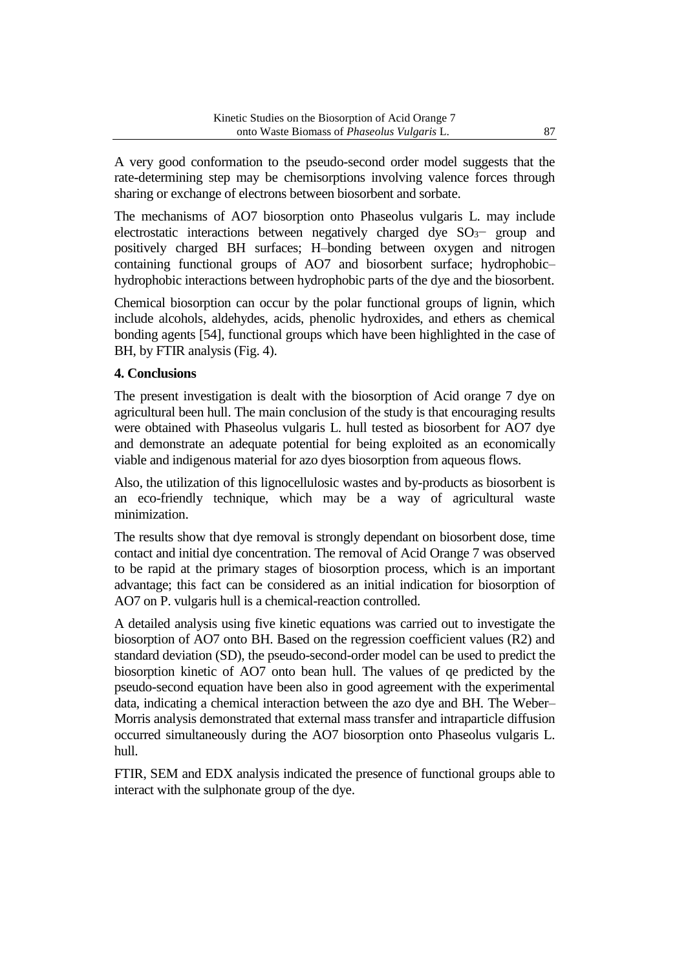A very good conformation to the pseudo-second order model suggests that the rate-determining step may be chemisorptions involving valence forces through sharing or exchange of electrons between biosorbent and sorbate.

The mechanisms of AO7 biosorption onto Phaseolus vulgaris L. may include electrostatic interactions between negatively charged dye SO<sub>3</sub>− group and positively charged BH surfaces; H–bonding between oxygen and nitrogen containing functional groups of AO7 and biosorbent surface; hydrophobic– hydrophobic interactions between hydrophobic parts of the dye and the biosorbent.

Chemical biosorption can occur by the polar functional groups of lignin, which include alcohols, aldehydes, acids, phenolic hydroxides, and ethers as chemical bonding agents [54], functional groups which have been highlighted in the case of BH, by FTIR analysis (Fig. 4).

### **4. Conclusions**

The present investigation is dealt with the biosorption of Acid orange 7 dye on agricultural been hull. The main conclusion of the study is that encouraging results were obtained with Phaseolus vulgaris L. hull tested as biosorbent for AO7 dye and demonstrate an adequate potential for being exploited as an economically viable and indigenous material for azo dyes biosorption from aqueous flows.

Also, the utilization of this lignocellulosic wastes and by-products as biosorbent is an eco-friendly technique, which may be a way of agricultural waste minimization.

The results show that dye removal is strongly dependant on biosorbent dose, time contact and initial dye concentration. The removal of Acid Orange 7 was observed to be rapid at the primary stages of biosorption process, which is an important advantage; this fact can be considered as an initial indication for biosorption of AO7 on P. vulgaris hull is a chemical-reaction controlled.

A detailed analysis using five kinetic equations was carried out to investigate the biosorption of AO7 onto BH. Based on the regression coefficient values (R2) and standard deviation (SD), the pseudo-second-order model can be used to predict the biosorption kinetic of AO7 onto bean hull. The values of qe predicted by the pseudo-second equation have been also in good agreement with the experimental data, indicating a chemical interaction between the azo dye and BH. The Weber– Morris analysis demonstrated that external mass transfer and intraparticle diffusion occurred simultaneously during the AO7 biosorption onto Phaseolus vulgaris L. hull.

FTIR, SEM and EDX analysis indicated the presence of functional groups able to interact with the sulphonate group of the dye.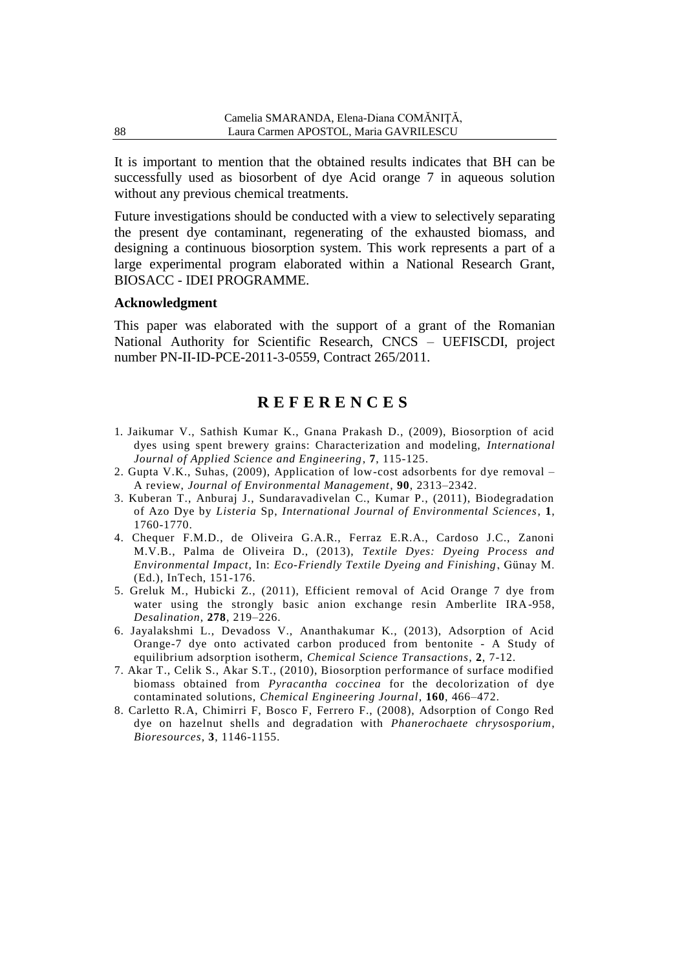It is important to mention that the obtained results indicates that BH can be successfully used as biosorbent of dye Acid orange 7 in aqueous solution without any previous chemical treatments.

Future investigations should be conducted with a view to selectively separating the present dye contaminant, regenerating of the exhausted biomass, and designing a continuous biosorption system. This work represents a part of a large experimental program elaborated within a National Research Grant, BIOSACC - IDEI PROGRAMME.

#### **Acknowledgment**

This paper was elaborated with the support of a grant of the Romanian National Authority for Scientific Research, CNCS – UEFISCDI, project number PN-II-ID-PCE-2011-3-0559, Contract 265/2011.

# **R E F E R E N C E S**

- 1. Jaikumar V., Sathish Kumar K., Gnana Prakash D., (2009), Biosorption of acid dyes using spent brewery grains: Characterization and modeling, *International Journal of Applied Science and Engineering*, **7**, 115-125.
- 2. Gupta V.K., Suhas, (2009), Application of low-cost adsorbents for dye removal A review, *Journal of Environmental Management*, **90**, 2313–2342.
- 3. Kuberan T., Anburaj J., Sundaravadivelan C., Kumar P., (2011), Biodegradation of Azo Dye by *Listeria* Sp, *International Journal of Environmental Sciences*, **1**, 1760-1770.
- 4. Chequer F.M.D., de Oliveira G.A.R., Ferraz E.R.A., Cardoso J.C., Zanoni M.V.B., Palma de Oliveira D., (2013), *Textile Dyes: Dyeing Process and Environmental Impact*, In: *Eco-Friendly Textile Dyeing and Finishing*, Günay M. (Ed.), InTech, 151-176.
- 5. Greluk M., Hubicki Z., (2011), Efficient removal of Acid Orange 7 dye from water using the strongly basic anion exchange resin Amberlite IRA-958, *Desalination*, **278**, 219–226.
- 6. Jayalakshmi L., Devadoss V., Ananthakumar K., (2013), Adsorption of Acid Orange-7 dye onto activated carbon produced from bentonite - A Study of equilibrium adsorption isotherm, *Chemical Science Transactions*, **2**, 7-12.
- 7. Akar T., Celik S., Akar S.T., (2010), Biosorption performance of surface modified biomass obtained from *Pyracantha coccinea* for the decolorization of dye contaminated solutions, *Chemical Engineering Journal*, **160**, 466–472.
- 8. Carletto R.A, Chimirri F, Bosco F, Ferrero F., (2008), Adsorption of Congo Red dye on hazelnut shells and degradation with *Phanerochaete chrysosporium*, *Bioresources*, **3**, 1146-1155.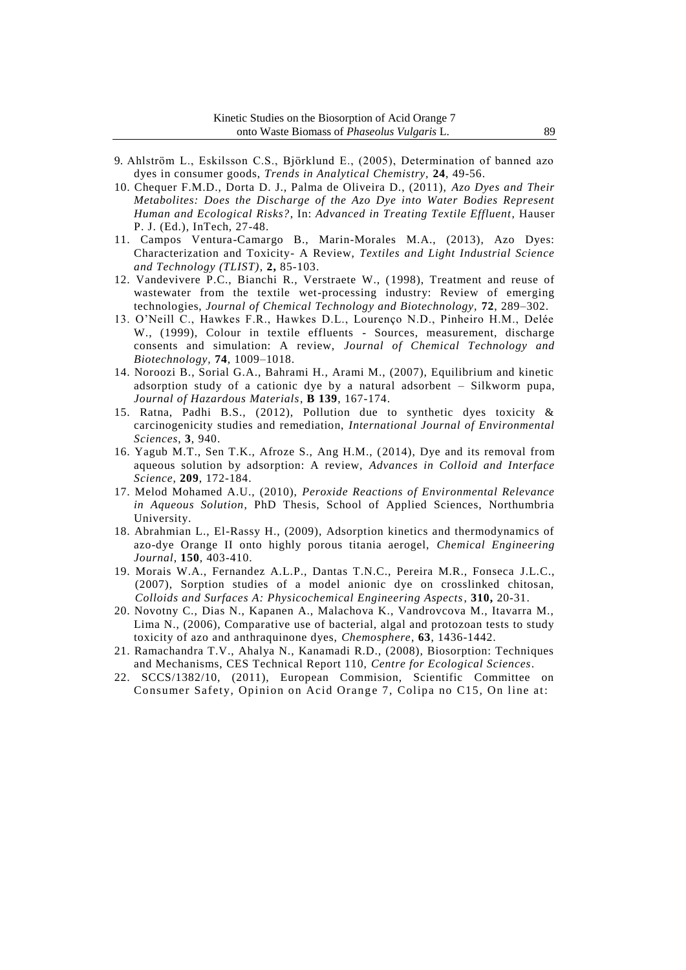- 9. Ahlström L., Eskilsson C.S., Björklund E., (2005), Determination of banned azo dyes in consumer goods, *Trends in Analytical Chemistry,* **24**, 49-56.
- 10. Chequer F.M.D., Dorta D. J., Palma de Oliveira D., (2011), *Azo Dyes and Their Metabolites: Does the Discharge of the Azo Dye into Water Bodies Represent Human and Ecological Risks?*, In: *Advanced in Treating Textile Effluent*, Hauser P. J. (Ed.), InTech, 27-48.
- 11. Campos Ventura-Camargo B., Marin-Morales M.A., (2013), Azo Dyes: Characterization and Toxicity- A Review, *Textiles and Light Industrial Science and Technology (TLIST)*, **2,** 85-103.
- 12. Vandevivere P.C., Bianchi R., Verstraete W., (1998), Treatment and reuse of wastewater from the textile wet-processing industry: Review of emerging technologies, *Journal of Chemical Technology and Biotechnology,* **72**, 289–302.
- 13. O'Neill C., Hawkes F.R., Hawkes D.L., Lourenço N.D., Pinheiro H.M., Delée W., (1999), Colour in textile effluents - Sources, measurement, discharge consents and simulation: A review, *Journal of Chemical Technology and Biotechnology,* **74**, 1009–1018.
- 14. Noroozi B., Sorial G.A., Bahrami H., Arami M., (2007), Equilibrium and kinetic adsorption study of a cationic dye by a natural adsorbent – Silkworm pupa, *Journal of Hazardous Materials*, **B 139**, 167-174.
- 15. Ratna, Padhi B.S., (2012), Pollution due to synthetic dyes toxicity & carcinogenicity studies and remediation, *International Journal of Environmental Sciences*, **3**, 940.
- 16. Yagub M.T., Sen T.K., Afroze S., Ang H.M., (2014), Dye and its removal from aqueous solution by adsorption: A review, *Advances in Colloid and Interface Science*, **209**, 172-184.
- 17. Melod Mohamed A.U., (2010), *Peroxide Reactions of Environmental Relevance in Aqueous Solution*, PhD Thesis, School of Applied Sciences, Northumbria University.
- 18. Abrahmian L., El-Rassy H., (2009), Adsorption kinetics and thermodynamics of azo-dye Orange II onto highly porous titania aerogel, *Chemical Engineering Journal*, **150**, 403-410.
- 19. Morais W.A., Fernandez A.L.P., Dantas T.N.C., Pereira M.R., Fonseca J.L.C., (2007), Sorption studies of a model anionic dye on crosslinked chitosan, *Colloids and Surfaces A: Physicochemical Engineering Aspects*, **310,** 20-31.
- 20. Novotny C., Dias N., Kapanen A., Malachova K., Vandrovcova M., Itavarra M., Lima N., (2006), Comparative use of bacterial, algal and protozoan tests to study toxicity of azo and anthraquinone dyes, *Chemosphere*, **63**, 1436-1442.
- 21. Ramachandra T.V., Ahalya N., Kanamadi R.D., (2008), Biosorption: Techniques and Mechanisms, CES Technical Report 110, *Centre for Ecological Sciences*.
- 22. SCCS/1382/10, (2011), European Commision, Scientific Committee on Consumer Safety, Opinion on Acid Orange 7, Colipa no C15, On line at: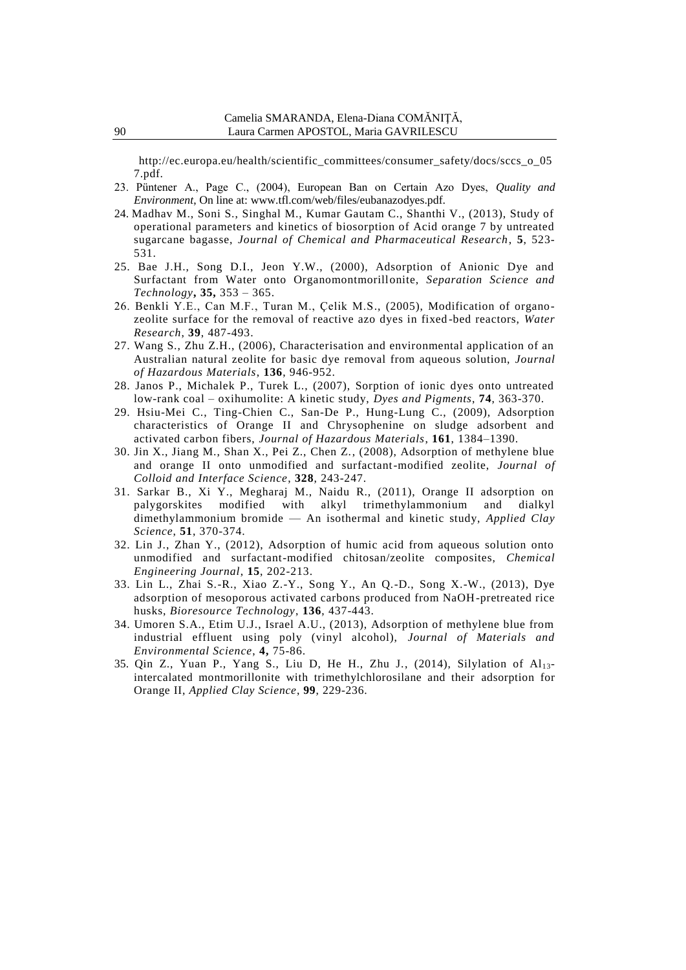http://ec.europa.eu/health/scientific\_committees/consumer\_safety/docs/sccs\_o\_05 7.pdf.

- 23. Püntener A., Page C., (2004), European Ban on Certain Azo Dyes, *Quality and Environment*, On line at: www.tfl.com/web/files/eubanazodyes.pdf.
- 24. Madhav M., Soni S., Singhal M., Kumar Gautam C., Shanthi V., (2013), Study of operational parameters and kinetics of biosorption of Acid orange 7 by untreated sugarcane bagasse, *Journal of Chemical and Pharmaceutical Research*, **5**, 523- 531.
- 25. Bae J.H., Song D.I., Jeon Y.W., (2000), Adsorption of Anionic Dye and Surfactant from Water onto Organomontmorillonite, *Separation Science and Technology***, 35,** 353 – 365.
- 26. Benkli Y.E., Can M.F., Turan M., Çelik M.S., (2005), Modification of organozeolite surface for the removal of reactive azo dyes in fixed -bed reactors, *Water Research*, **39**, 487-493.
- 27. Wang S., Zhu Z.H., (2006), Characterisation and environmental application of an Australian natural zeolite for basic dye removal from aqueous solution, *Journal of Hazardous Materials*, **136**, 946-952.
- 28. Janos P., Michalek P., Turek L., (2007), Sorption of ionic dyes onto untreated low-rank coal – oxihumolite: A kinetic study, *Dyes and Pigments*, **74**, 363-370.
- 29. Hsiu-Mei C., Ting-Chien C., San-De P., Hung-Lung C., (2009), Adsorption characteristics of Orange II and Chrysophenine on sludge adsorbent and activated carbon fibers, *Journal of Hazardous Materials*, **161**, 1384–1390.
- 30. Jin X., Jiang M., Shan X., Pei Z., Chen Z., (2008), Adsorption of methylene blue and orange II onto unmodified and surfactant-modified zeolite, *Journal of Colloid and Interface Science*, **328**, 243-247.
- 31. Sarkar B., Xi Y., Megharaj M., Naidu R., (2011), Orange II adsorption on palygorskites modified with alkyl trimethylammonium and dialkyl dimethylammonium bromide — An isothermal and kinetic study, *Applied Clay Science*, **51**, 370-374.
- 32. Lin J., Zhan Y., (2012), Adsorption of humic acid from aqueous solution onto unmodified and surfactant-modified chitosan/zeolite composites, *Chemical Engineering Journal*, **15**, 202-213.
- 33. Lin L., Zhai S.-R., Xiao Z.-Y., Song Y., An Q.-D., Song X.-W., (2013), Dye adsorption of mesoporous activated carbons produced from NaOH-pretreated rice husks, *Bioresource Technology*, **136**, 437-443.
- 34. Umoren S.A., Etim U.J., Israel A.U., (2013), Adsorption of methylene blue from industrial effluent using poly (vinyl alcohol), *Journal of Materials and Environmental Science*, **4,** 75-86.
- 35. Qin Z., Yuan P., Yang S., Liu D, He H., Zhu J., (2014), Silylation of Al13 intercalated montmorillonite with trimethylchlorosilane and their adsorption for Orange II, *Applied Clay Science*, **99**, 229-236.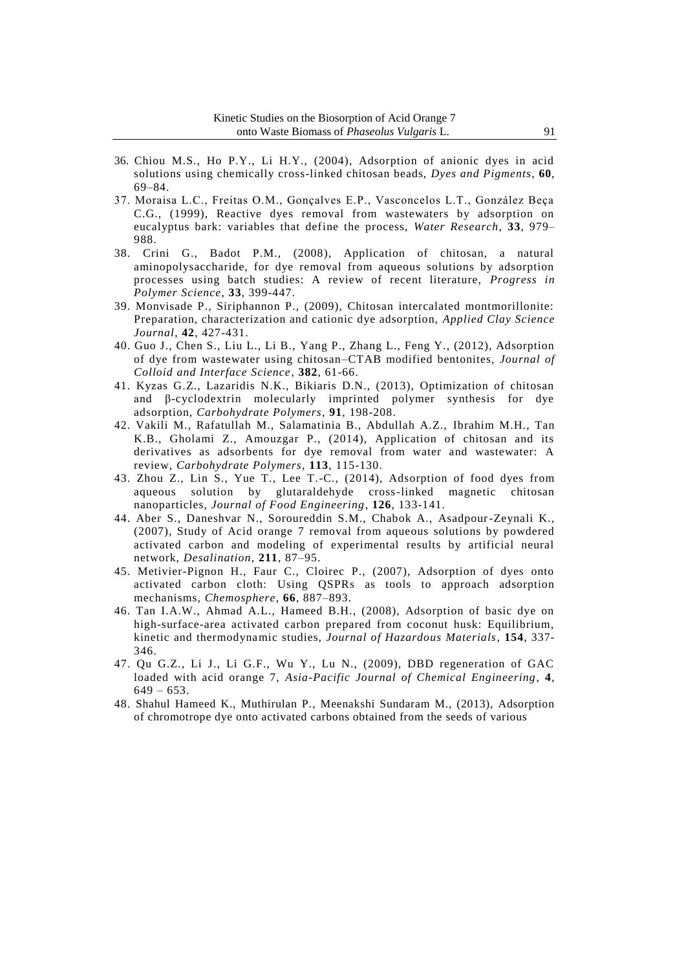- 36. Chiou M.S., Ho P.Y., Li H.Y., (2004), Adsorption of anionic dyes in acid solutions using chemically cross-linked chitosan beads, *Dyes and Pigments*, **60**, 69–84.
- 37. Moraisa L.C., Freitas O.M., Gonçalves E.P., Vasconcelos L.T., González Beça C.G., (1999), Reactive dyes removal from wastewaters by adsorption on eucalyptus bark: variables that define the process, *Water Research*, **33**, 979– 988.
- 38. Crini G., Badot P.M., (2008), Application of chitosan, a natural aminopolysaccharide, for dye removal from aqueous solutions by adsorption processes using batch studies: A review of recent literature, *Progress in Polymer Science*, **33**, 399-447.
- 39. Monvisade P., Siriphannon P., (2009), Chitosan intercalated montmorillonite: Preparation, characterization and cationic dye adsorption, *Applied Clay Science Journal*, **42**, 427-431.
- 40. Guo J., Chen S., Liu L., Li B., Yang P., Zhang L., Feng Y., (2012), Adsorption of dye from wastewater using chitosan–CTAB modified bentonites, *Journal of Colloid and Interface Science*, **382**, 61-66.
- 41. Kyzas G.Z., Lazaridis N.K., Bikiaris D.N., (2013), Optimization of chitosan and β-cyclodextrin molecularly imprinted polymer synthesis for dye adsorption, *Carbohydrate Polymers*, **91**, 198-208.
- 42. Vakili M., Rafatullah M., Salamatinia B., Abdullah A.Z., Ibrahim M.H., Tan K.B., Gholami Z., Amouzgar P., (2014), Application of chitosan and its derivatives as adsorbents for dye removal from water and wastewater: A review, *Carbohydrate Polymers*, **113**, 115-130.
- 43. Zhou Z., Lin S., Yue T., Lee T.-C., (2014), Adsorption of food dyes from aqueous solution by glutaraldehyde cross-linked magnetic chitosan nanoparticles, *Journal of Food Engineering*, **126**, 133-141.
- 44. Aber S., Daneshvar N., Soroureddin S.M., Chabok A., Asadpour-Zeynali K., (2007), Study of Acid orange 7 removal from aqueous solutions by powdered activated carbon and modeling of experimental results by artificial neural network, *Desalination*, **211**, 87–95.
- 45. Metivier-Pignon H., Faur C., Cloirec P., (2007), Adsorption of dyes onto activated carbon cloth: Using QSPRs as tools to approach adsorption mechanisms, *Chemosphere*, **66**, 887–893.
- 46. Tan I.A.W., Ahmad A.L., Hameed B.H., (2008), Adsorption of basic dye on high-surface-area activated carbon prepared from coconut husk: Equilibrium, kinetic and thermodynamic studies, *Journal of Hazardous Materials*, **154**, 337- 346.
- 47. Qu G.Z., Li J., Li G.F., Wu Y., Lu N., (2009), DBD regeneration of GAC loaded with acid orange 7, *Asia-Pacific Journal of Chemical Engineering*, **4**,  $649 - 653$ .
- 48. Shahul Hameed K., Muthirulan P., Meenakshi Sundaram M., (2013), Adsorption of chromotrope dye onto activated carbons obtained from the seeds of various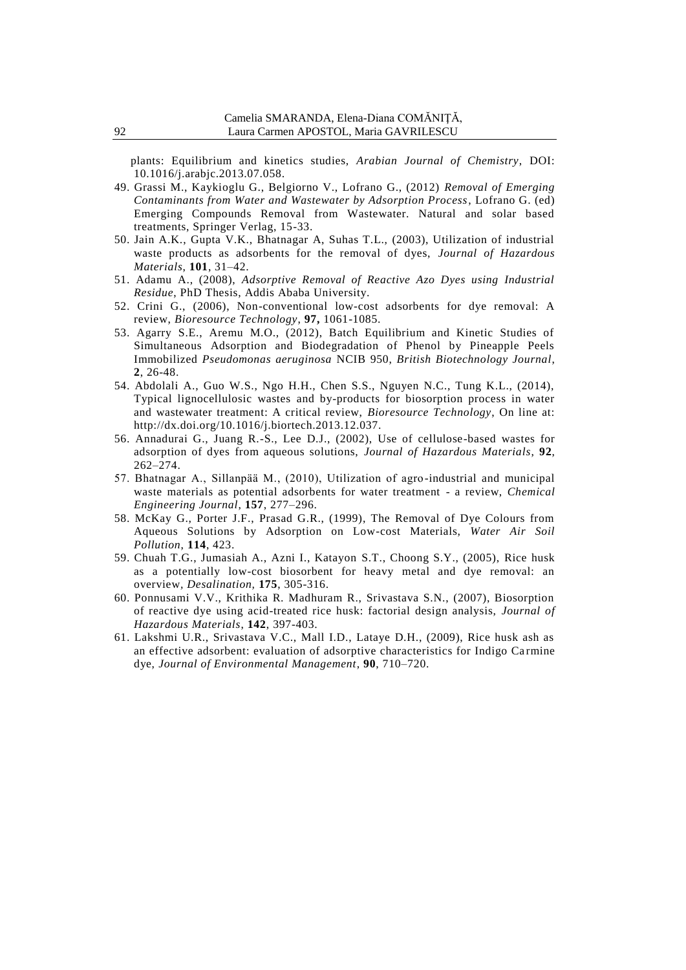plants: Equilibrium and kinetics studies, *Arabian Journal of Chemistry*, DOI: 10.1016/j.arabjc.2013.07.058.

- 49. Grassi M., Kaykioglu G., Belgiorno V., Lofrano G., (2012) *Removal of Emerging Contaminants from Water and Wastewater by Adsorption Process*, Lofrano G. (ed) Emerging Compounds Removal from Wastewater. Natural and solar based treatments, Springer Verlag, 15-33.
- 50. Jain A.K., Gupta V.K., Bhatnagar A, Suhas T.L., (2003), Utilization of industrial waste products as adsorbents for the removal of dyes, *Journal of Hazardous Materials*, **101**, 31–42.
- 51. Adamu A., (2008), *Adsorptive Removal of Reactive Azo Dyes using Industrial Residue*, PhD Thesis, Addis Ababa University.
- 52. Crini G., (2006), Non-conventional low-cost adsorbents for dye removal: A review, *Bioresource Technology*, **97,** 1061-1085.
- 53. Agarry S.E., Aremu M.O., (2012), Batch Equilibrium and Kinetic Studies of Simultaneous Adsorption and Biodegradation of Phenol by Pineapple Peels Immobilized *Pseudomonas aeruginosa* NCIB 950, *British Biotechnology Journal*, **2**, 26-48.
- 54. Abdolali A., Guo W.S., Ngo H.H., Chen S.S., Nguyen N.C., Tung K.L., (2014), Typical lignocellulosic wastes and by-products for biosorption process in water and wastewater treatment: A critical review, *Bioresource Technology*, On line at: http://dx.doi.org/10.1016/j.biortech.2013.12.037.
- 56. Annadurai G., Juang R.-S., Lee D.J., (2002), Use of cellulose-based wastes for adsorption of dyes from aqueous solutions, *Journal of Hazardous Materials*, **92**, 262–274.
- 57. Bhatnagar A., Sillanpää M., (2010), Utilization of agro-industrial and municipal waste materials as potential adsorbents for water treatment - a review, *Chemical Engineering Journal*, **157**, 277–296.
- 58. McKay G., Porter J.F., Prasad G.R., (1999), The Removal of Dye Colours from Aqueous Solutions by Adsorption on Low-cost Materials, *Water Air Soil Pollution*, **114**, 423.
- 59. Chuah T.G., Jumasiah A., Azni I., Katayon S.T., Choong S.Y., (2005), Rice husk as a potentially low-cost biosorbent for heavy metal and dye removal: an overview*, Desalination,* **175**, 305-316.
- 60. Ponnusami V.V., Krithika R. Madhuram R., Srivastava S.N., (2007), Biosorption of reactive dye using acid-treated rice husk: factorial design analysis, *Journal of Hazardous Materials*, **142**, 397-403.
- 61. Lakshmi U.R., Srivastava V.C., Mall I.D., Lataye D.H., (2009), Rice husk ash as an effective adsorbent: evaluation of adsorptive characteristics for Indigo Carmine dye, *Journal of Environmental Management*, **90**, 710–720.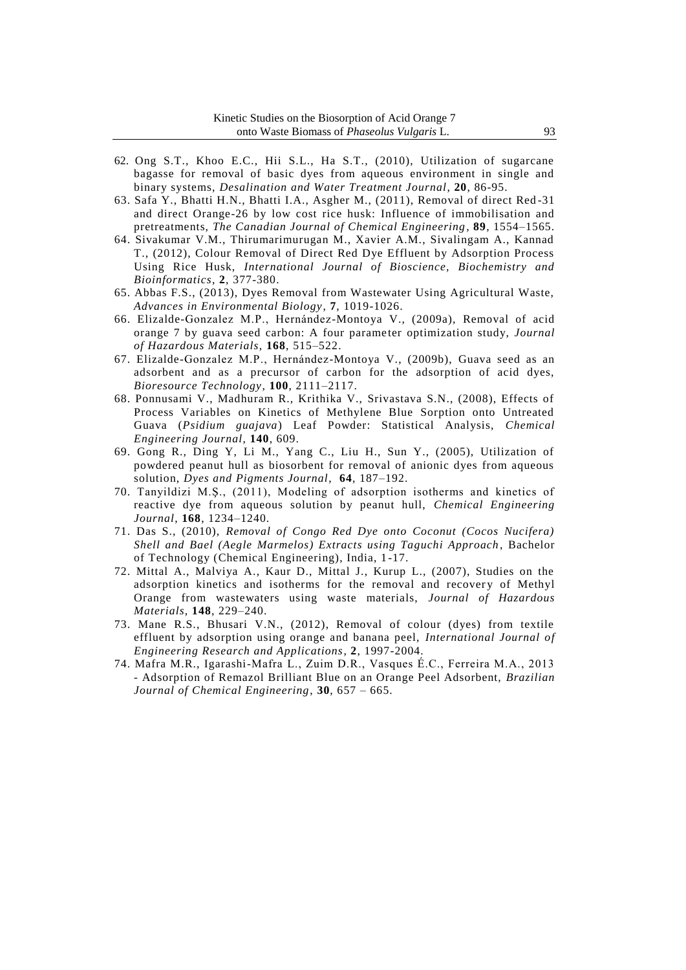- 62. Ong S.T., Khoo E.C., Hii S.L., Ha S.T., (2010), Utilization of sugarcane bagasse for removal of basic dyes from aqueous environment in single and binary systems, *Desalination and Water Treatment Journal*, **20**, 86-95.
- 63. Safa Y., Bhatti H.N., Bhatti I.A., Asgher M., (2011), Removal of direct Red -31 and direct Orange-26 by low cost rice husk: Influence of immobilisation and pretreatments, *The Canadian Journal of Chemical Engineering*, **89**, 1554–1565.
- 64. Sivakumar V.M., Thirumarimurugan M., Xavier A.M., Sivalingam A., Kannad T., (2012), Colour Removal of Direct Red Dye Effluent by Adsorption Process Using Rice Husk, *International Journal of Bioscience, Biochemistry and Bioinformatics*, **2**, 377-380.
- 65. Abbas F.S., (2013), Dyes Removal from Wastewater Using Agricultural Waste, *Advances in Environmental Biology*, **7**, 1019-1026.
- 66. Elizalde-Gonzalez M.P., Hernández-Montoya V., (2009a), Removal of acid orange 7 by guava seed carbon: A four parameter optimization study, *Journal of Hazardous Materials*, **168**, 515–522.
- 67. Elizalde-Gonzalez M.P., Hernández-Montoya V., (2009b), Guava seed as an adsorbent and as a precursor of carbon for the adsorption of acid dyes, *Bioresource Technology*, **100**, 2111–2117.
- 68. Ponnusami V., Madhuram R., Krithika V., Srivastava S.N., (2008), Effects of Process Variables on Kinetics of Methylene Blue Sorption onto Untreated Guava (*Psidium guajava*) Leaf Powder: Statistical Analysis, *Chemical Engineering Journal*, **140**, 609.
- 69. Gong R., Ding Y, Li M., Yang C., Liu H., Sun Y., (2005), Utilization of powdered peanut hull as biosorbent for removal of anionic dyes from aqueous solution, *Dyes and Pigments Journal*, **64**, 187–192.
- 70. Tanyildizi M.Ş., (2011), Modeling of adsorption isotherms and kinetics of reactive dye from aqueous solution by peanut hull, *Chemical Engineering Journal*, **168**, 1234–1240.
- 71. Das S., (2010), *Removal of Congo Red Dye onto Coconut (Cocos Nucifera) Shell and Bael (Aegle Marmelos) Extracts using Taguchi Approach* , Bachelor of Technology (Chemical Engineering), India, 1-17.
- 72. Mittal A., Malviya A., Kaur D., Mittal J., Kurup L., (2007), Studies on the adsorption kinetics and isotherms for the removal and recovery of Methyl Orange from wastewaters using waste materials, *Journal of Hazardous Materials*, **148**, 229–240.
- 73. Mane R.S., Bhusari V.N., (2012), Removal of colour (dyes) from textile effluent by adsorption using orange and banana peel, *International Journal of Engineering Research and Applications*, **2**, 1997-2004.
- 74. Mafra M.R., Igarashi-Mafra L., Zuim D.R., Vasques É.C., Ferreira M.A., 2013 - Adsorption of Remazol Brilliant Blue on an Orange Peel Adsorbent, *Brazilian Journal of Chemical Engineering*, **30**, 657 – 665.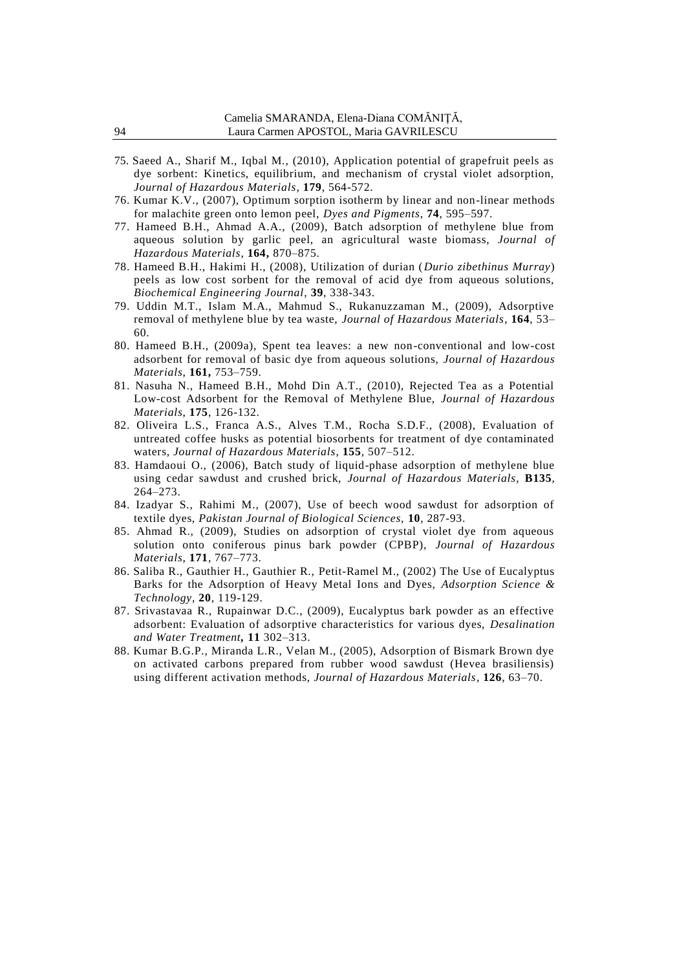- 75. Saeed A., Sharif M., Iqbal M., (2010), Application potential of grapefruit peels as dye sorbent: Kinetics, equilibrium, and mechanism of crystal violet adsorption, *Journal of Hazardous Materials*, **179**, 564-572.
- 76. Kumar K.V., (2007), Optimum sorption isotherm by linear and non-linear methods for malachite green onto lemon peel, *Dyes and Pigments*, **74**, 595–597.
- 77. Hameed B.H., Ahmad A.A., (2009), Batch adsorption of methylene blue from aqueous solution by garlic peel, an agricultural waste biomass, *Journal of Hazardous Materials*, **164,** 870–875.
- 78. Hameed B.H., Hakimi H., (2008), Utilization of durian (*Durio zibethinus Murray*) peels as low cost sorbent for the removal of acid dye from aqueous solutions, *Biochemical Engineering Journal*, **39**, 338-343.
- 79. Uddin M.T., Islam M.A., Mahmud S., Rukanuzzaman M., (2009), Adsorptive removal of methylene blue by tea waste, *Journal of Hazardous Materials*, **164**, 53– 60.
- 80. Hameed B.H., (2009a), Spent tea leaves: a new non-conventional and low-cost adsorbent for removal of basic dye from aqueous solutions, *Journal of Hazardous Materials*, **161,** 753–759.
- 81. Nasuha N., Hameed B.H., Mohd Din A.T., (2010), Rejected Tea as a Potential Low-cost Adsorbent for the Removal of Methylene Blue, *Journal of Hazardous Materials*, **175**, 126-132.
- 82. Oliveira L.S., Franca A.S., Alves T.M., Rocha S.D.F., (2008), Evaluation of untreated coffee husks as potential biosorbents for treatment of dye contaminated waters, *Journal of Hazardous Materials*, **155**, 507–512.
- 83. Hamdaoui O., (2006), Batch study of liquid-phase adsorption of methylene blue using cedar sawdust and crushed brick, *Journal of Hazardous Materials*, **B135**, 264–273.
- 84. Izadyar S., Rahimi M., (2007), Use of beech wood sawdust for adsorption of textile dyes, *Pakistan Journal of Biological Sciences,* **10**, 287-93.
- 85. Ahmad R., (2009), Studies on adsorption of crystal violet dye from aqueous solution onto coniferous pinus bark powder (CPBP), *Journal of Hazardous Materials*, **171**, 767–773.
- 86. Saliba R., Gauthier H., Gauthier R., Petit-Ramel M., (2002) The Use of Eucalyptus Barks for the Adsorption of Heavy Metal Ions and Dyes, *Adsorption Science & Technology*, **20**, 119-129.
- 87. Srivastavaa R., Rupainwar D.C., (2009), Eucalyptus bark powder as an effective adsorbent: Evaluation of adsorptive characteristics for various dyes, *Desalination and Water Treatment,* **11** 302–313.
- 88. Kumar B.G.P., Miranda L.R., Velan M., (2005), Adsorption of Bismark Brown dye on activated carbons prepared from rubber wood sawdust (Hevea brasiliensis) using different activation methods, *Journal of Hazardous Materials*, **126**, 63–70.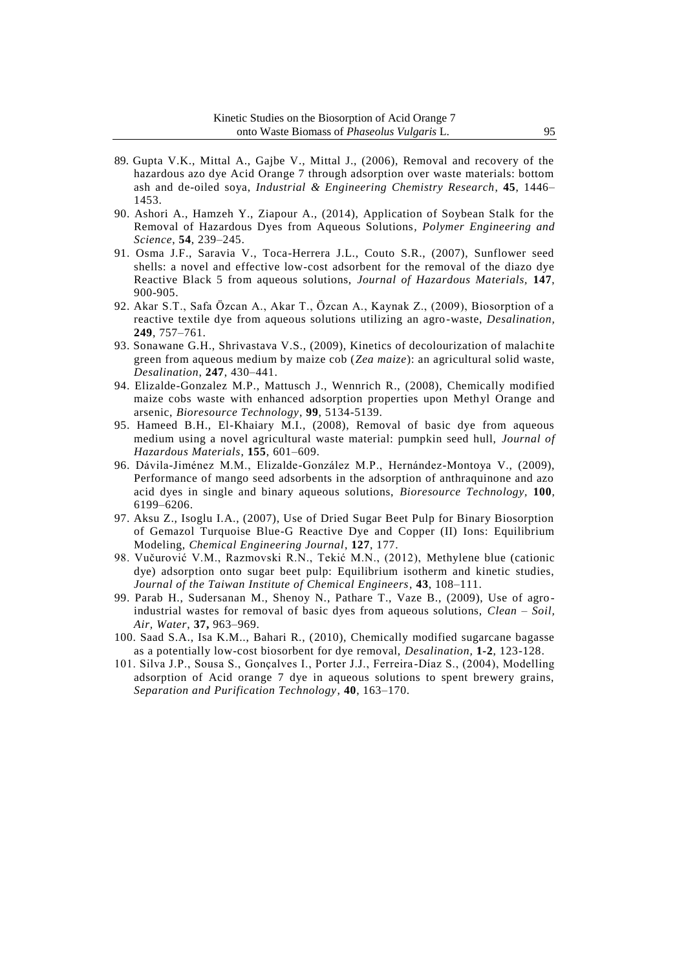- 89. Gupta V.K., Mittal A., Gajbe V., Mittal J., (2006), Removal and recovery of the hazardous azo dye Acid Orange 7 through adsorption over waste materials: bottom ash and de-oiled soya, *Industrial & Engineering Chemistry Research*, **45**, 1446– 1453.
- 90. Ashori A., Hamzeh Y., Ziapour A., (2014), Application of Soybean Stalk for the Removal of Hazardous Dyes from Aqueous Solutions*, Polymer Engineering and Science*, **54**, 239–245.
- 91. Osma J.F., Saravia V., Toca-Herrera J.L., Couto S.R., (2007), Sunflower seed shells: a novel and effective low-cost adsorbent for the removal of the diazo dye Reactive Black 5 from aqueous solutions, *Journal of Hazardous Materials,* **147**, 900-905.
- 92. Akar S.T., Safa Özcan A., Akar T., Özcan A., Kaynak Z., (2009), Biosorption of a reactive textile dye from aqueous solutions utilizing an agro -waste, *Desalination,* **249**, 757–761.
- 93. Sonawane G.H., Shrivastava V.S., (2009), Kinetics of decolourization of malachite green from aqueous medium by maize cob (*Zea maize*): an agricultural solid waste, *Desalination*, **247**, 430–441.
- 94. Elizalde-Gonzalez M.P., Mattusch J., Wennrich R., (2008), Chemically modified maize cobs waste with enhanced adsorption properties upon Methyl Orange and arsenic, *Bioresource Technology*, **99**, 5134-5139.
- 95. Hameed B.H., El-Khaiary M.I., (2008), Removal of basic dye from aqueous medium using a novel agricultural waste material: pumpkin seed hull, *Journal of Hazardous Materials*, **155**, 601–609.
- 96. Dávila-Jiménez M.M., Elizalde-González M.P., Hernández-Montoya V., (2009), Performance of mango seed adsorbents in the adsorption of anthraquinone and azo acid dyes in single and binary aqueous solutions, *Bioresource Technology,* **100**, 6199–6206.
- 97. Aksu Z., Isoglu I.A., (2007), Use of Dried Sugar Beet Pulp for Binary Biosorption of Gemazol Turquoise Blue-G Reactive Dye and Copper (II) Ions: Equilibrium Modeling, *Chemical Engineering Journal*, **127**, 177.
- 98. Vučurović V.M., Razmovski R.N., Tekić M.N., (2012), Methylene blue (cationic dye) adsorption onto sugar beet pulp: Equilibrium isotherm and kinetic studies, *Journal of the Taiwan Institute of Chemical Engineers*, **43**, 108–111.
- 99. Parab H., Sudersanan M., Shenoy N., Pathare T., Vaze B., (2009), Use of agro industrial wastes for removal of basic dyes from aqueous solutions, *Clean – Soil, Air, Water*, **37,** 963–969.
- 100. Saad S.A., Isa K.M.., Bahari R., (2010), Chemically modified sugarcane bagasse as a potentially low-cost biosorbent for dye removal, *Desalination,* **1-2**, 123-128.
- 101. Silva J.P., Sousa S., Gonçalves I., Porter J.J., Ferreira -Díaz S., (2004), Modelling adsorption of Acid orange 7 dye in aqueous solutions to spent brewery grains, *Separation and Purification Technology*, **40**, 163–170.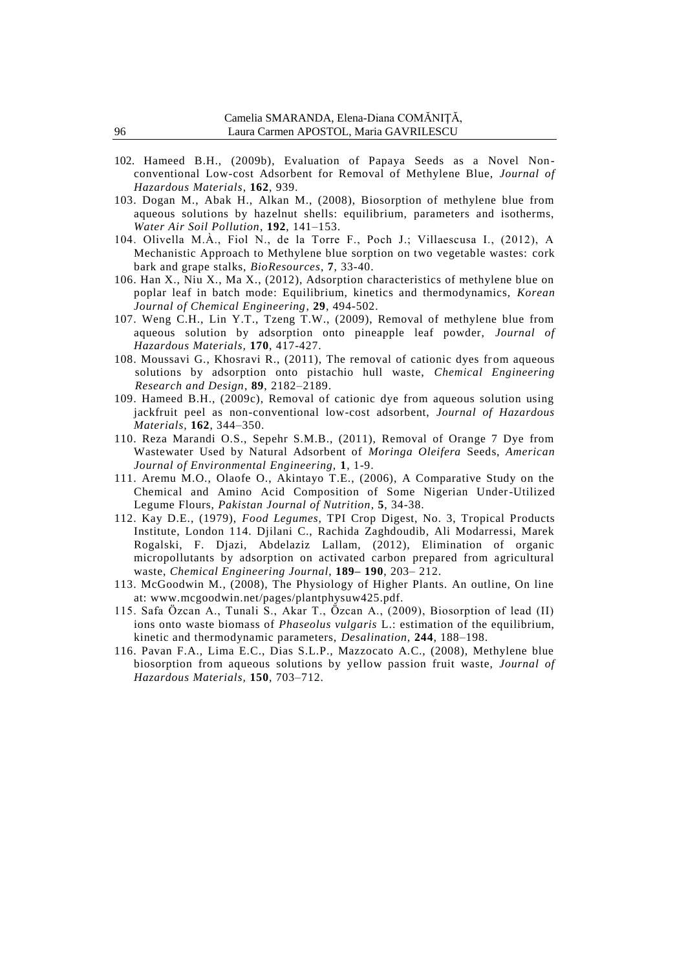- 102. Hameed B.H., (2009b), Evaluation of Papaya Seeds as a Novel Non conventional Low-cost Adsorbent for Removal of Methylene Blue, *Journal of Hazardous Materials*, **162**, 939.
- 103. Dogan M., Abak H., Alkan M., (2008), Biosorption of methylene blue from aqueous solutions by hazelnut shells: equilibrium, parameters and isotherms, *Water Air Soil Pollution*, **192**, 141–153.
- 104. Olivella M.À., Fiol N., de la Torre F., Poch J.; Villaescusa I., (2012), A Mechanistic Approach to Methylene blue sorption on two vegetable wastes: cork bark and grape stalks, *BioResources*, **7**, 33-40.
- 106. Han X., Niu X., Ma X., (2012), Adsorption characteristics of methylene blue on poplar leaf in batch mode: Equilibrium, kinetics and thermodynamics, *Korean Journal of Chemical Engineering*, **29**, 494-502.
- 107. Weng C.H., Lin Y.T., Tzeng T.W., (2009), Removal of methylene blue from aqueous solution by adsorption onto pineapple leaf powder, *Journal of Hazardous Materials,* **170**, 417-427.
- 108. Moussavi G., Khosravi R., (2011), The removal of cationic dyes from aqueous solutions by adsorption onto pistachio hull waste, *Chemical Engineering Research and Design*, **89**, 2182–2189.
- 109. Hameed B.H., (2009c), Removal of cationic dye from aqueous solution using jackfruit peel as non-conventional low-cost adsorbent, *Journal of Hazardous Materials*, **162**, 344–350.
- 110. Reza Marandi O.S., Sepehr S.M.B., (2011), Removal of Orange 7 Dye from Wastewater Used by Natural Adsorbent of *Moringa Oleifera* Seeds, *American Journal of Environmental Engineering,* **1**, 1-9.
- 111. Aremu M.O., Olaofe O., Akintayo T.E., (2006), A Comparative Study on the Chemical and Amino Acid Composition of Some Nigerian Under-Utilized Legume Flours, *Pakistan Journal of Nutrition*, **5**, 34-38.
- 112. Kay D.E., (1979), *Food Legumes*, TPI Crop Digest, No. 3, Tropical Products Institute, London 114. Djilani C., Rachida Zaghdoudib, Ali Modarressi, Marek Rogalski, F. Djazi, Abdelaziz Lallam, (2012), Elimination of organic micropollutants by adsorption on activated carbon prepared from agricultural waste, *Chemical Engineering Journal*, **189– 190**, 203– 212.
- 113. McGoodwin M., (2008), The Physiology of Higher Plants. An outline, On line at: www.mcgoodwin.net/pages/plantphysuw425.pdf.
- 115. Safa Özcan A., Tunali S., Akar T., Özcan A., (2009), Biosorption of lead (II) ions onto waste biomass of *Phaseolus vulgaris* L.: estimation of the equilibrium, kinetic and thermodynamic parameters, *Desalination,* **244**, 188–198.
- 116. Pavan F.A., Lima E.C., Dias S.L.P., Mazzocato A.C., (2008), Methylene blue biosorption from aqueous solutions by yellow passion fruit waste, *Journal of Hazardous Materials,* **150**, 703–712.